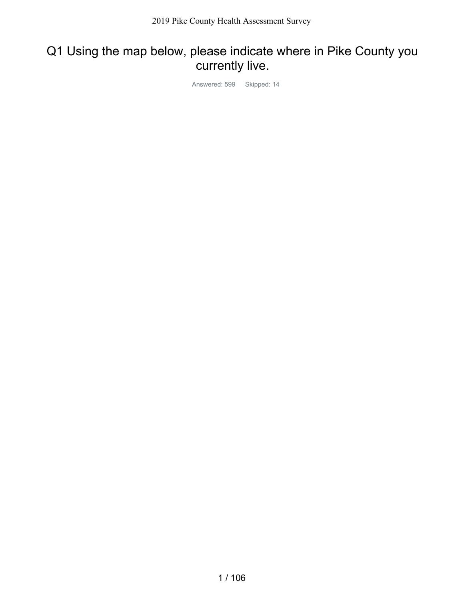## Q1 Using the map below, please indicate where in Pike County you currently live.

Answered: 599 Skipped: 14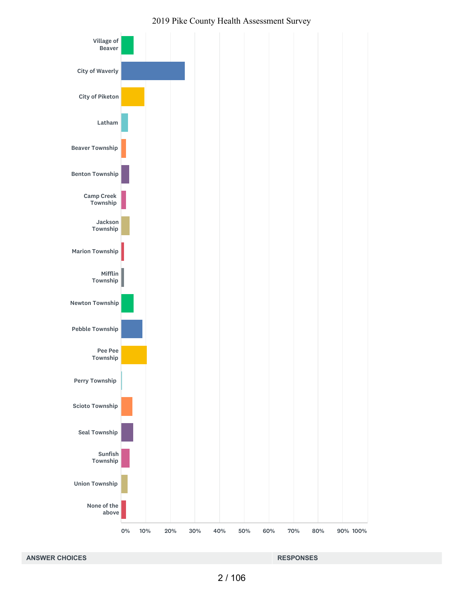

#### **ANSWER CHOICES RESPONSES**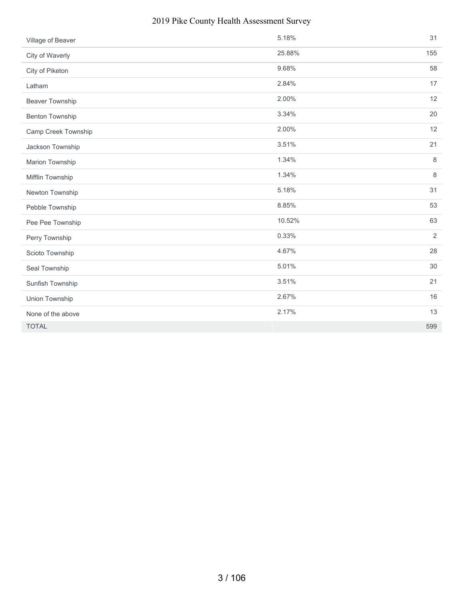#### 2019 Pike County Health Assessment Survey

| Village of Beaver      | 5.18%  | 31             |
|------------------------|--------|----------------|
| City of Waverly        | 25.88% | 155            |
| City of Piketon        | 9.68%  | 58             |
| Latham                 | 2.84%  | 17             |
| <b>Beaver Township</b> | 2.00%  | 12             |
| <b>Benton Township</b> | 3.34%  | 20             |
| Camp Creek Township    | 2.00%  | 12             |
| Jackson Township       | 3.51%  | 21             |
| Marion Township        | 1.34%  | 8              |
| Mifflin Township       | 1.34%  | $\,8\,$        |
| Newton Township        | 5.18%  | 31             |
| Pebble Township        | 8.85%  | 53             |
| Pee Pee Township       | 10.52% | 63             |
| Perry Township         | 0.33%  | $\overline{2}$ |
| Scioto Township        | 4.67%  | 28             |
| Seal Township          | 5.01%  | 30             |
| Sunfish Township       | 3.51%  | 21             |
| Union Township         | 2.67%  | 16             |
| None of the above      | 2.17%  | 13             |
| <b>TOTAL</b>           |        | 599            |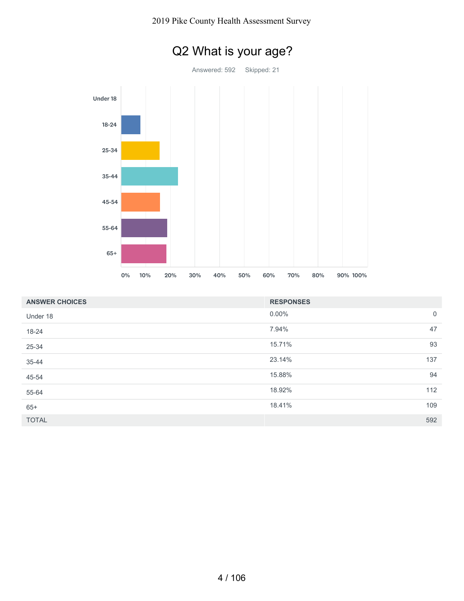

| <b>ANSWER CHOICES</b> | <b>RESPONSES</b> |             |
|-----------------------|------------------|-------------|
| Under 18              | $0.00\%$         | $\mathbf 0$ |
| 18-24                 | 7.94%            | 47          |
| 25-34                 | 15.71%           | 93          |
| 35-44                 | 23.14%           | 137         |
| 45-54                 | 15.88%           | 94          |
| 55-64                 | 18.92%           | 112         |
| $65+$                 | 18.41%           | 109         |
| <b>TOTAL</b>          |                  | 592         |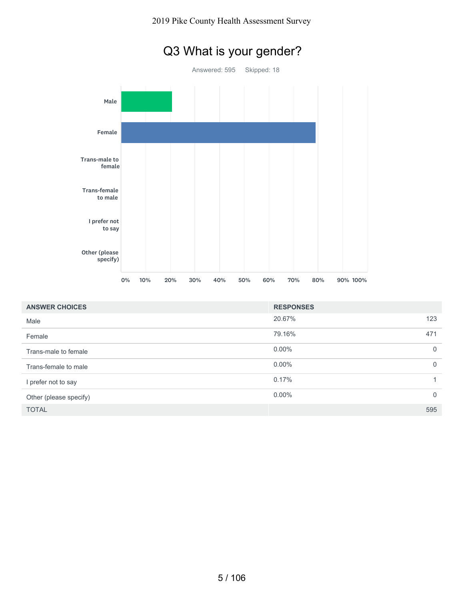#### 2019 Pike County Health Assessment Survey



| <b>ANSWER CHOICES</b>  | <b>RESPONSES</b> |                |
|------------------------|------------------|----------------|
| Male                   | 20.67%           | 123            |
| Female                 | 79.16%           | 471            |
| Trans-male to female   | $0.00\%$         | $\overline{0}$ |
| Trans-female to male   | $0.00\%$         | $\overline{0}$ |
| I prefer not to say    | 0.17%            | $\mathbf{1}$   |
| Other (please specify) | $0.00\%$         | $\overline{0}$ |
| <b>TOTAL</b>           |                  | 595            |

## Q3 What is your gender?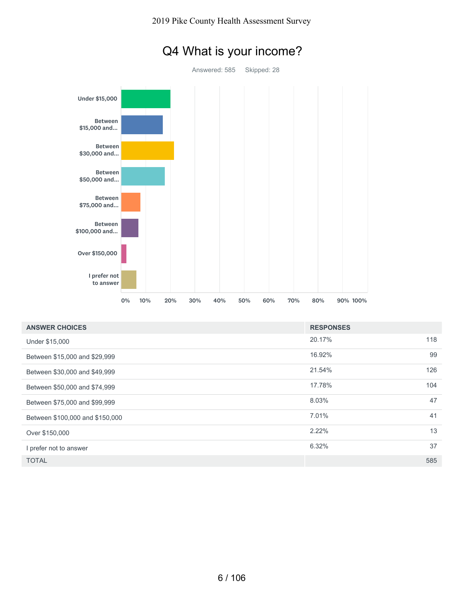

## Q4 What is your income?

| <b>ANSWER CHOICES</b>           | <b>RESPONSES</b> |     |
|---------------------------------|------------------|-----|
| Under \$15,000                  | 20.17%           | 118 |
| Between \$15,000 and \$29,999   | 16.92%           | 99  |
| Between \$30,000 and \$49,999   | 21.54%           | 126 |
| Between \$50,000 and \$74,999   | 17.78%           | 104 |
| Between \$75,000 and \$99,999   | 8.03%            | 47  |
| Between \$100,000 and \$150,000 | 7.01%            | 41  |
| Over \$150,000                  | 2.22%            | 13  |
| I prefer not to answer          | 6.32%            | 37  |
| <b>TOTAL</b>                    |                  | 585 |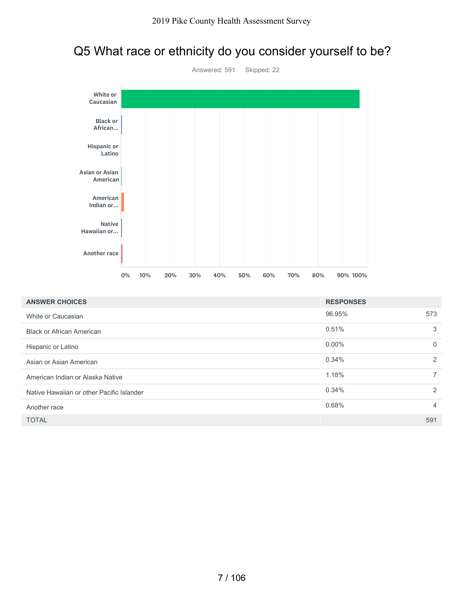## Q5 What race or ethnicity do you consider yourself to be?



| <b>ANSWER CHOICES</b>                     | <b>RESPONSES</b> |                |
|-------------------------------------------|------------------|----------------|
| White or Caucasian                        | 96.95%           | 573            |
| <b>Black or African American</b>          | 0.51%            | 3              |
| Hispanic or Latino                        | $0.00\%$         | $\mathbf 0$    |
| Asian or Asian American                   | 0.34%            | 2              |
| American Indian or Alaska Native          | 1.18%            | $\overline{7}$ |
| Native Hawaiian or other Pacific Islander | 0.34%            | 2              |
| Another race                              | 0.68%            | 4              |
| <b>TOTAL</b>                              |                  | 591            |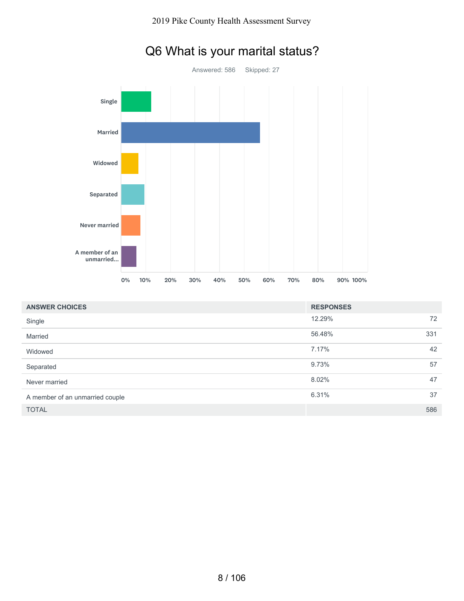

| Q6 What is your marital status? |  |
|---------------------------------|--|
|---------------------------------|--|

| <b>ANSWER CHOICES</b>           | <b>RESPONSES</b> |     |
|---------------------------------|------------------|-----|
| Single                          | 12.29%           | 72  |
| Married                         | 56.48%           | 331 |
| Widowed                         | 7.17%            | 42  |
| Separated                       | 9.73%            | 57  |
| Never married                   | 8.02%            | 47  |
| A member of an unmarried couple | 6.31%            | 37  |
| <b>TOTAL</b>                    |                  | 586 |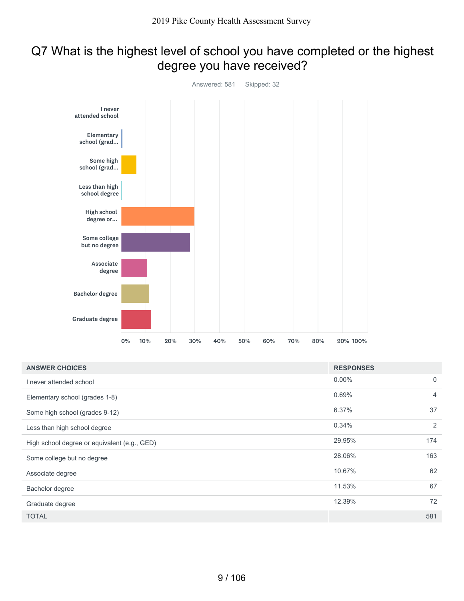## Q7 What is the highest level of school you have completed or the highest degree you have received?



| <b>ANSWER CHOICES</b>                        | <b>RESPONSES</b> |                |
|----------------------------------------------|------------------|----------------|
| I never attended school                      | $0.00\%$         | $\mathbf 0$    |
| Elementary school (grades 1-8)               | 0.69%            | $\overline{4}$ |
| Some high school (grades 9-12)               | 6.37%            | 37             |
| Less than high school degree                 | 0.34%            | 2              |
| High school degree or equivalent (e.g., GED) | 29.95%           | 174            |
| Some college but no degree                   | 28.06%           | 163            |
| Associate degree                             | 10.67%           | 62             |
| Bachelor degree                              | 11.53%           | 67             |
| Graduate degree                              | 12.39%           | 72             |
| <b>TOTAL</b>                                 |                  | 581            |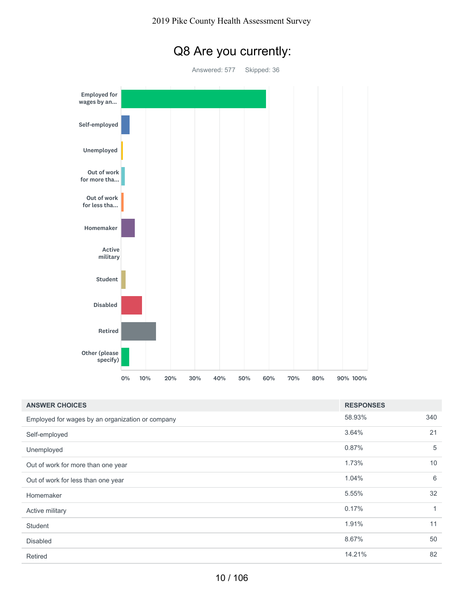



| <b>ANSWER CHOICES</b>                            | <b>RESPONSES</b> |     |
|--------------------------------------------------|------------------|-----|
| Employed for wages by an organization or company | 58.93%           | 340 |
| Self-employed                                    | 3.64%            | 21  |
| Unemployed                                       | 0.87%            | 5   |
| Out of work for more than one year               | 1.73%            | 10  |
| Out of work for less than one year               | 1.04%            | 6   |
| Homemaker                                        | 5.55%            | 32  |
| Active military                                  | 0.17%            | 1   |
| <b>Student</b>                                   | 1.91%            | 11  |
| <b>Disabled</b>                                  | 8.67%            | 50  |
| Retired                                          | 14.21%           | 82  |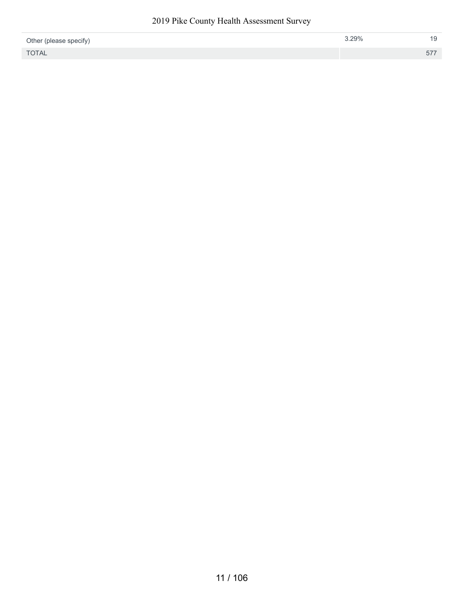#### 2019 Pike County Health Assessment Survey

| Other (please specify) | 3.29% |     |
|------------------------|-------|-----|
| <b>TOTAL</b>           |       | 577 |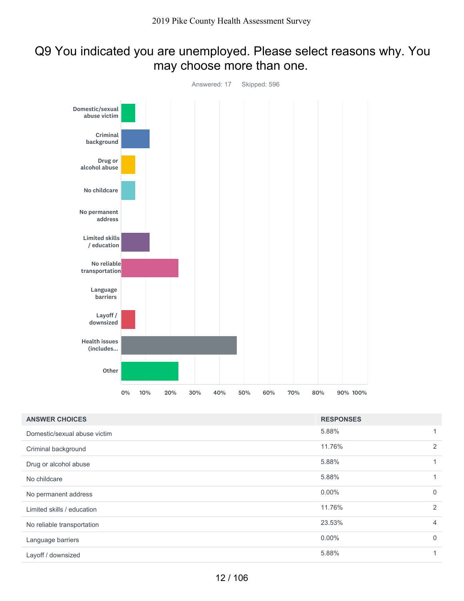### Q9 You indicated you are unemployed. Please select reasons why. You may choose more than one.



| <b>ANSWER CHOICES</b>        | <b>RESPONSES</b> |                |
|------------------------------|------------------|----------------|
| Domestic/sexual abuse victim | 5.88%            |                |
| Criminal background          | 11.76%           | 2              |
| Drug or alcohol abuse        | 5.88%            |                |
| No childcare                 | 5.88%            |                |
| No permanent address         | $0.00\%$         | $\overline{0}$ |
| Limited skills / education   | 11.76%           | 2              |
| No reliable transportation   | 23.53%           | $\overline{4}$ |
| Language barriers            | $0.00\%$         | $\overline{0}$ |
| Layoff / downsized           | 5.88%            |                |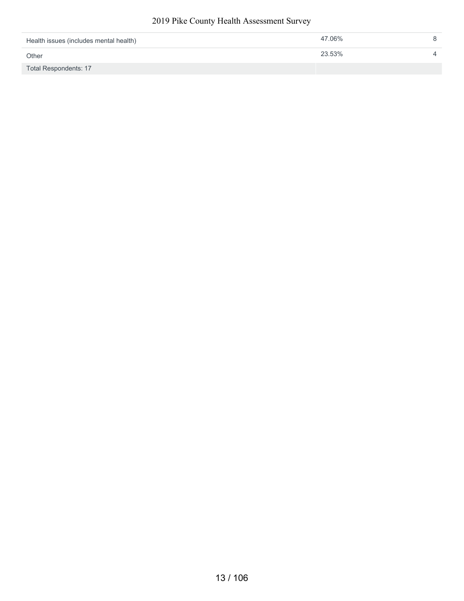#### 2019 Pike County Health Assessment Survey

| Health issues (includes mental health) | 47.06% |  |
|----------------------------------------|--------|--|
| Other                                  | 23.53% |  |
| Total Respondents: 17                  |        |  |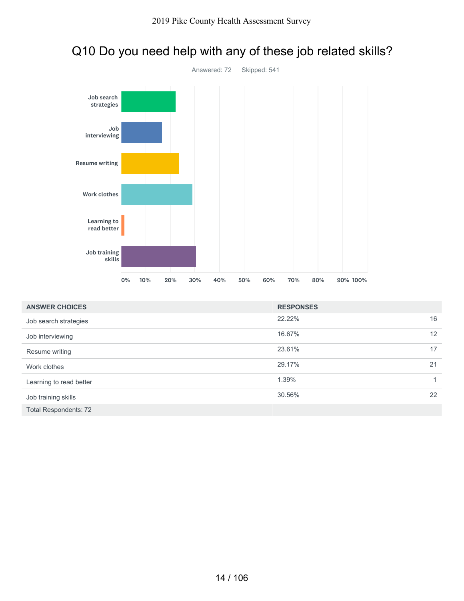

## Q10 Do you need help with any of these job related skills?

| <b>ANSWER CHOICES</b>        | <b>RESPONSES</b> |    |
|------------------------------|------------------|----|
| Job search strategies        | 22.22%           | 16 |
| Job interviewing             | 16.67%           | 12 |
| Resume writing               | 23.61%           | 17 |
| Work clothes                 | 29.17%           | 21 |
| Learning to read better      | 1.39%            |    |
| Job training skills          | 30.56%           | 22 |
| <b>Total Respondents: 72</b> |                  |    |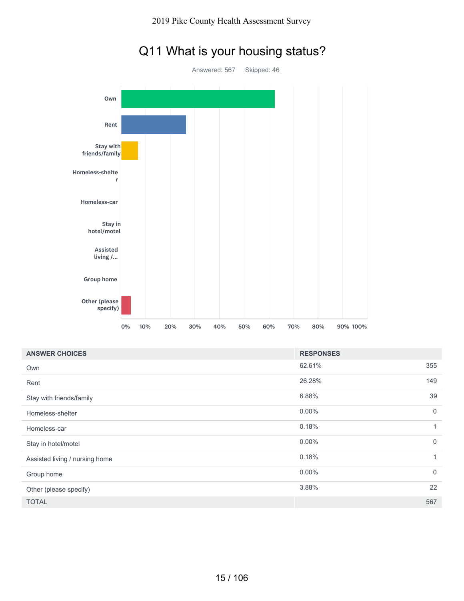

# Q11 What is your housing status?

| <b>ANSWER CHOICES</b>          | <b>RESPONSES</b> |             |
|--------------------------------|------------------|-------------|
| Own                            | 62.61%           | 355         |
| Rent                           | 26.28%           | 149         |
| Stay with friends/family       | 6.88%            | 39          |
| Homeless-shelter               | $0.00\%$         | $\mathbf 0$ |
| Homeless-car                   | 0.18%            |             |
| Stay in hotel/motel            | $0.00\%$         | $\mathbf 0$ |
| Assisted living / nursing home | 0.18%            | 1           |
| Group home                     | $0.00\%$         | $\mathbf 0$ |
| Other (please specify)         | 3.88%            | 22          |
| <b>TOTAL</b>                   |                  | 567         |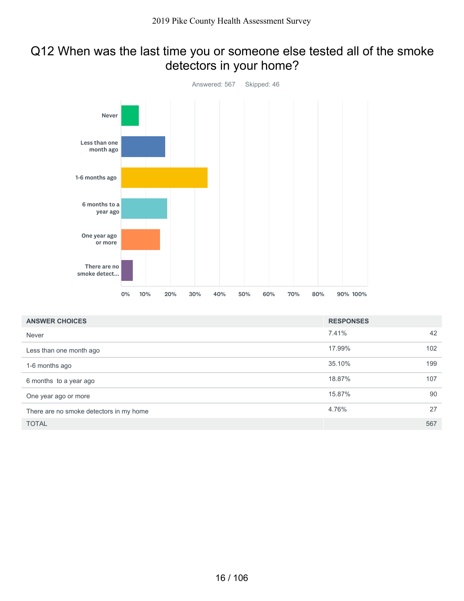## Q12 When was the last time you or someone else tested all of the smoke detectors in your home?



| <b>ANSWER CHOICES</b>                   | <b>RESPONSES</b> |     |
|-----------------------------------------|------------------|-----|
| Never                                   | 7.41%            | 42  |
| Less than one month ago                 | 17.99%           | 102 |
| 1-6 months ago                          | 35.10%           | 199 |
| 6 months to a year ago                  | 18.87%           | 107 |
| One year ago or more                    | 15.87%           | 90  |
| There are no smoke detectors in my home | 4.76%            | 27  |
| <b>TOTAL</b>                            |                  | 567 |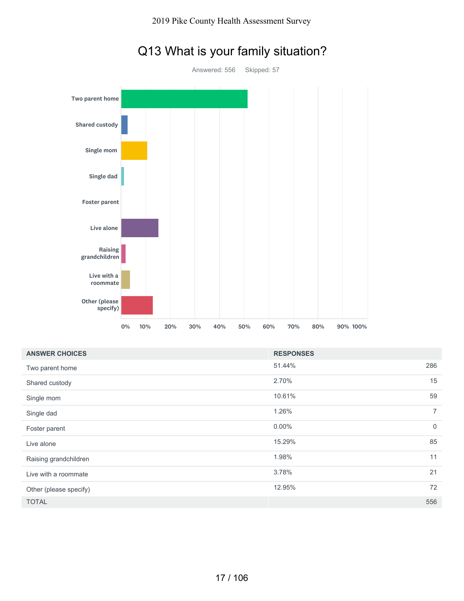

# Q13 What is your family situation?

| <b>ANSWER CHOICES</b>  | <b>RESPONSES</b> |                |
|------------------------|------------------|----------------|
| Two parent home        | 51.44%           | 286            |
| Shared custody         | 2.70%            | 15             |
| Single mom             | 10.61%           | 59             |
| Single dad             | 1.26%            | $\overline{7}$ |
| Foster parent          | $0.00\%$         | $\overline{0}$ |
| Live alone             | 15.29%           | 85             |
| Raising grandchildren  | 1.98%            | 11             |
| Live with a roommate   | 3.78%            | 21             |
| Other (please specify) | 12.95%           | 72             |
| <b>TOTAL</b>           |                  | 556            |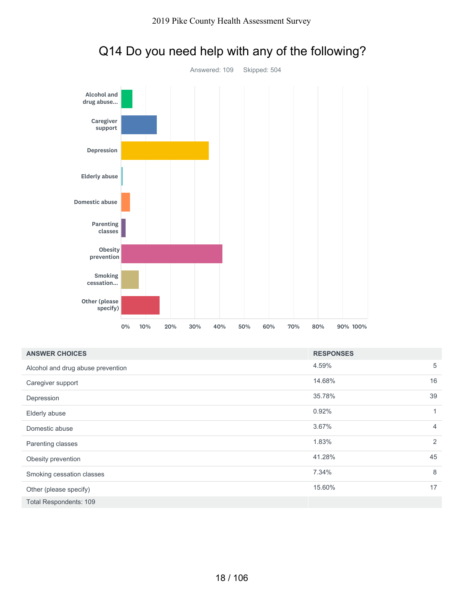

| Smoking<br>cessation<br>Other (please<br>specify) |    |     |     |     |     |     |     |     |        |                  |    |                |
|---------------------------------------------------|----|-----|-----|-----|-----|-----|-----|-----|--------|------------------|----|----------------|
|                                                   | 0% | 10% | 20% | 30% | 40% | 50% | 60% | 70% | 80%    | 90% 100%         |    |                |
| <b>ANSWER CHOICES</b>                             |    |     |     |     |     |     |     |     |        | <b>RESPONSES</b> |    |                |
| Alcohol and drug abuse prevention                 |    |     |     |     |     |     |     |     | 4.59%  |                  |    | 5              |
| Caregiver support                                 |    |     |     |     |     |     |     |     | 14.68% |                  | 16 |                |
| Depression                                        |    |     |     |     |     |     |     |     | 35.78% |                  | 39 |                |
| Elderly abuse                                     |    |     |     |     |     |     |     |     | 0.92%  |                  |    | $\mathbf{1}$   |
| Domestic abuse                                    |    |     |     |     |     |     |     |     | 3.67%  |                  |    | 4              |
| Parenting classes                                 |    |     |     |     |     |     |     |     | 1.83%  |                  |    | $\overline{2}$ |
| Obesity prevention                                |    |     |     |     |     |     |     |     | 41.28% |                  | 45 |                |
| Smoking cessation classes                         |    |     |     |     |     |     |     |     | 7.34%  |                  |    | 8              |
| Other (please specify)                            |    |     |     |     |     |     |     |     | 15.60% |                  |    | 17             |
| Total Respondents: 109                            |    |     |     |     |     |     |     |     |        |                  |    |                |
|                                                   |    |     |     |     |     |     |     |     |        |                  |    |                |

## Q14 Do you need help with any of the following?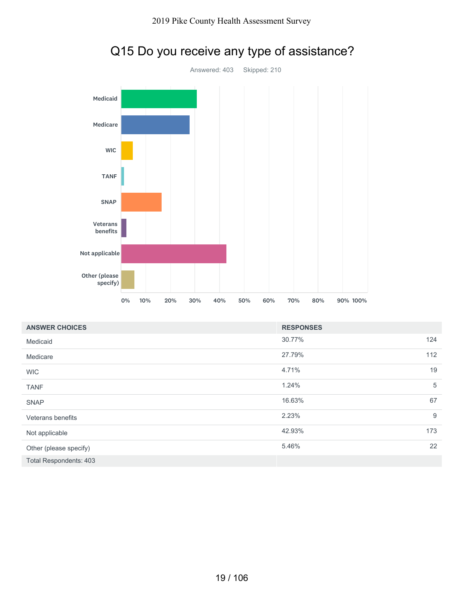

|                               | 0% | 10% | 20% | 30% | 40% | 50% | 60% | 70%              | 80% | 90% 100% |  |                  |
|-------------------------------|----|-----|-----|-----|-----|-----|-----|------------------|-----|----------|--|------------------|
| <b>ANSWER CHOICES</b>         |    |     |     |     |     |     |     | <b>RESPONSES</b> |     |          |  |                  |
| Medicaid                      |    |     |     |     |     |     |     | 30.77%           |     |          |  | 124              |
| Medicare                      |    |     |     |     |     |     |     | 27.79%           |     |          |  | 112              |
| <b>WIC</b>                    |    |     |     |     |     |     |     | 4.71%            |     |          |  | 19               |
| <b>TANF</b>                   |    |     |     |     |     |     |     | 1.24%            |     |          |  | 5                |
| <b>SNAP</b>                   |    |     |     |     |     |     |     | 16.63%           |     |          |  | 67               |
| Veterans benefits             |    |     |     |     |     |     |     | 2.23%            |     |          |  | $\boldsymbol{9}$ |
| Not applicable                |    |     |     |     |     |     |     | 42.93%           |     |          |  | 173              |
| Other (please specify)        |    |     |     |     |     |     |     | 5.46%            |     |          |  | 22               |
| <b>Total Respondents: 403</b> |    |     |     |     |     |     |     |                  |     |          |  |                  |

# Q15 Do you receive any type of assistance?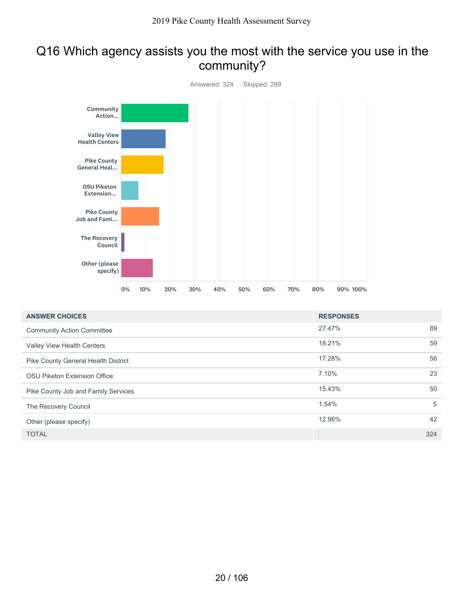### Q16 Which agency assists you the most with the service you use in the community?



| <b>ANSWER CHOICES</b>               | <b>RESPONSES</b> |     |
|-------------------------------------|------------------|-----|
| <b>Community Action Committee</b>   | 27.47%           | 89  |
| <b>Valley View Health Centers</b>   | 18.21%           | 59  |
| Pike County General Health District | 17.28%           | 56  |
| OSU Piketon Extension Office        | 7.10%            | 23  |
| Pike County Job and Family Services | 15.43%           | 50  |
| The Recovery Council                | 1.54%            | 5   |
| Other (please specify)              | 12.96%           | 42  |
| <b>TOTAL</b>                        |                  | 324 |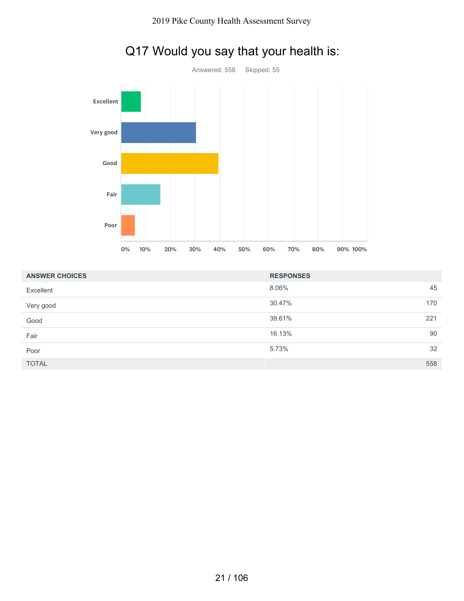

## Q17 Would you say that your health is:

| <b>ANSWER CHOICES</b> | <b>RESPONSES</b> |
|-----------------------|------------------|
| Excellent             | 8.06%<br>45      |
| Very good             | 30.47%<br>170    |
| Good                  | 39.61%<br>221    |
| Fair                  | 16.13%<br>90     |
| Poor                  | 32<br>5.73%      |
| <b>TOTAL</b>          | 558              |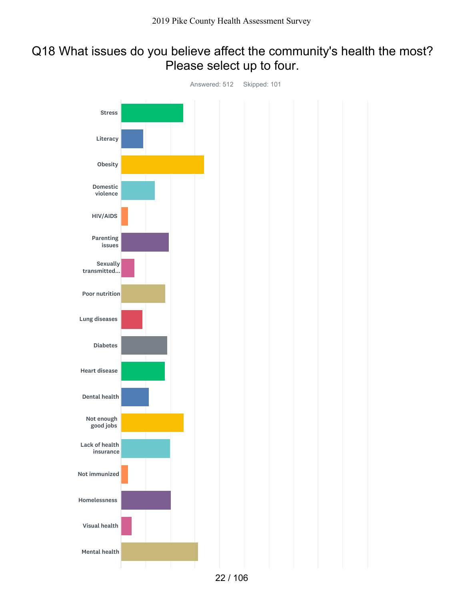### Q18 What issues do you believe affect the community's health the most? Please select up to four.

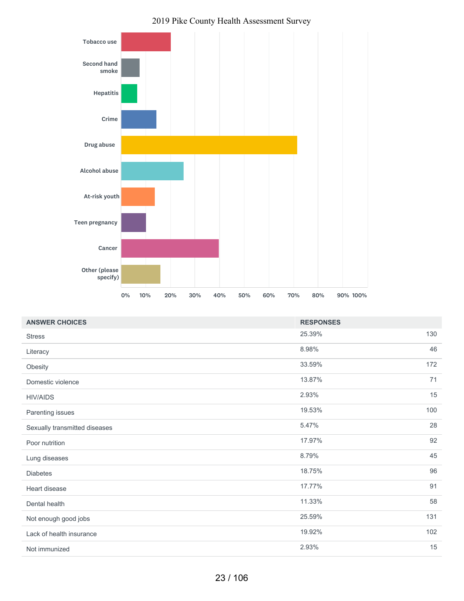

#### 2019 Pike County Health Assessment Survey

| <b>ANSWER CHOICES</b>         | <b>RESPONSES</b> |     |
|-------------------------------|------------------|-----|
| <b>Stress</b>                 | 25.39%           | 130 |
| Literacy                      | 8.98%            | 46  |
| Obesity                       | 33.59%           | 172 |
| Domestic violence             | 13.87%           | 71  |
| <b>HIV/AIDS</b>               | 2.93%            | 15  |
| Parenting issues              | 19.53%           | 100 |
| Sexually transmitted diseases | 5.47%            | 28  |
| Poor nutrition                | 17.97%           | 92  |
| Lung diseases                 | 8.79%            | 45  |
| <b>Diabetes</b>               | 18.75%           | 96  |
| Heart disease                 | 17.77%           | 91  |
| Dental health                 | 11.33%           | 58  |
| Not enough good jobs          | 25.59%           | 131 |
| Lack of health insurance      | 19.92%           | 102 |
| Not immunized                 | 2.93%            | 15  |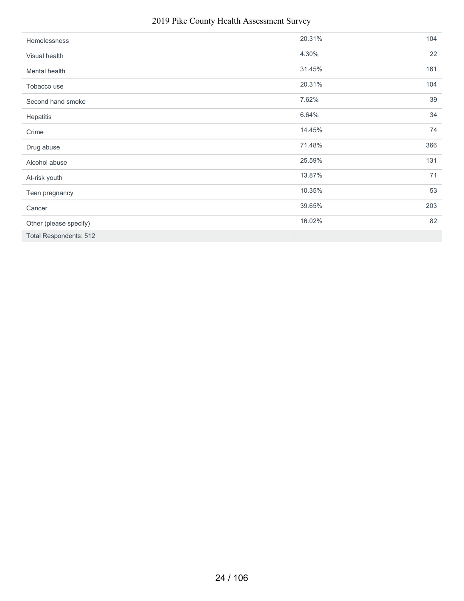#### 2019 Pike County Health Assessment Survey

| Homelessness                  | 20.31% | 104 |
|-------------------------------|--------|-----|
| Visual health                 | 4.30%  | 22  |
| Mental health                 | 31.45% | 161 |
| Tobacco use                   | 20.31% | 104 |
| Second hand smoke             | 7.62%  | 39  |
| Hepatitis                     | 6.64%  | 34  |
| Crime                         | 14.45% | 74  |
| Drug abuse                    | 71.48% | 366 |
| Alcohol abuse                 | 25.59% | 131 |
| At-risk youth                 | 13.87% | 71  |
| Teen pregnancy                | 10.35% | 53  |
| Cancer                        | 39.65% | 203 |
| Other (please specify)        | 16.02% | 82  |
| <b>Total Respondents: 512</b> |        |     |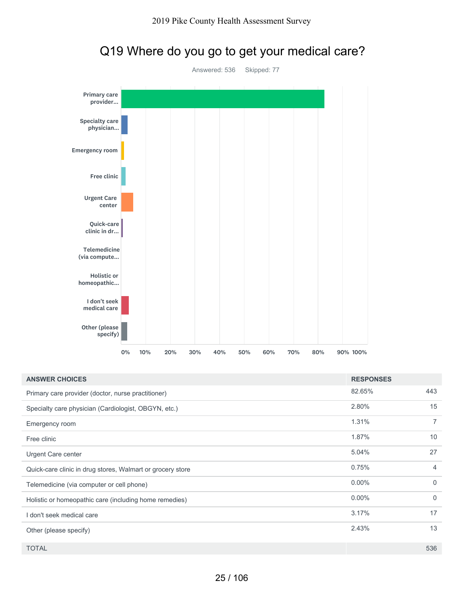

## Q19 Where do you go to get your medical care?

| <b>ANSWER CHOICES</b>                                      | <b>RESPONSES</b> |          |
|------------------------------------------------------------|------------------|----------|
| Primary care provider (doctor, nurse practitioner)         | 82.65%           | 443      |
| Specialty care physician (Cardiologist, OBGYN, etc.)       | 2.80%            | 15       |
| Emergency room                                             | 1.31%            | 7        |
| Free clinic                                                | 1.87%            | 10       |
| Urgent Care center                                         | 5.04%            | 27       |
| Quick-care clinic in drug stores, Walmart or grocery store | 0.75%            | 4        |
| Telemedicine (via computer or cell phone)                  | $0.00\%$         | $\Omega$ |
| Holistic or homeopathic care (including home remedies)     | $0.00\%$         | $\Omega$ |
| I don't seek medical care                                  | 3.17%            | 17       |
| Other (please specify)                                     | 2.43%            | 13       |
| <b>TOTAL</b>                                               |                  | 536      |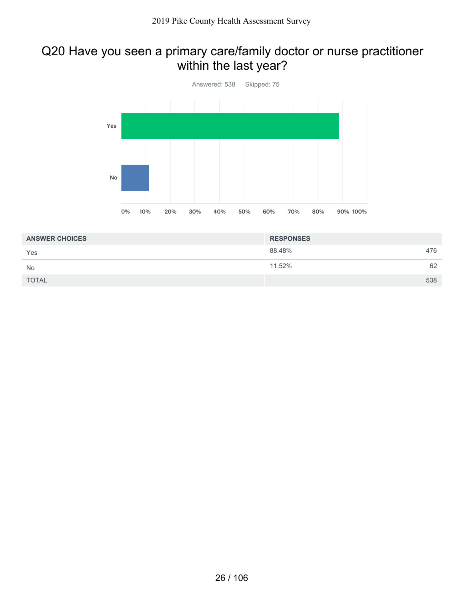## Q20 Have you seen a primary care/family doctor or nurse practitioner within the last year?



| <b>ANSWER CHOICES</b> | <b>RESPONSES</b> |     |
|-----------------------|------------------|-----|
| Yes                   | 88.48%           | 476 |
| <b>No</b>             | 11.52%           | 62  |
| <b>TOTAL</b>          |                  | 538 |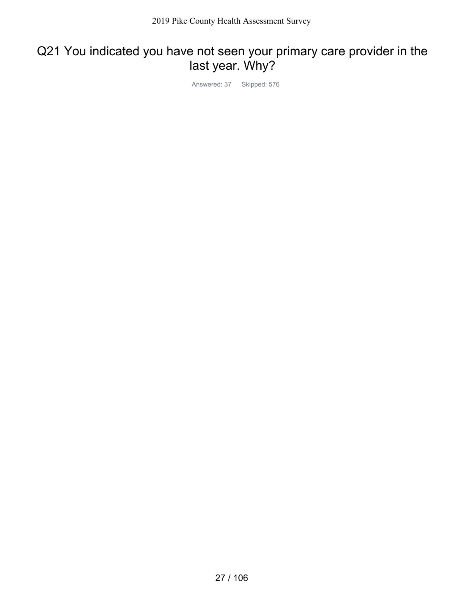## Q21 You indicated you have not seen your primary care provider in the last year. Why?

Answered: 37 Skipped: 576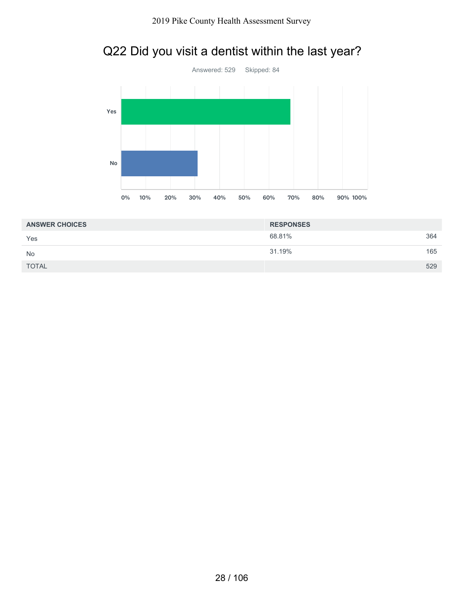## Q22 Did you visit a dentist within the last year?



| <b>ANSWER CHOICES</b> | <b>RESPONSES</b> |     |
|-----------------------|------------------|-----|
| Yes                   | 68.81%           | 364 |
| <b>No</b>             | 31.19%           | 165 |
| <b>TOTAL</b>          |                  | 529 |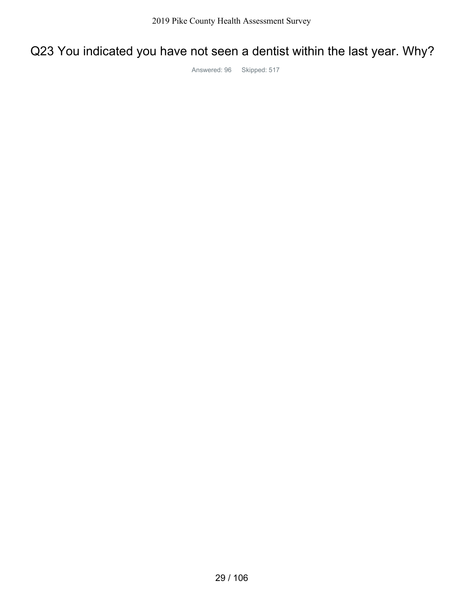# Q23 You indicated you have not seen a dentist within the last year. Why?

Answered: 96 Skipped: 517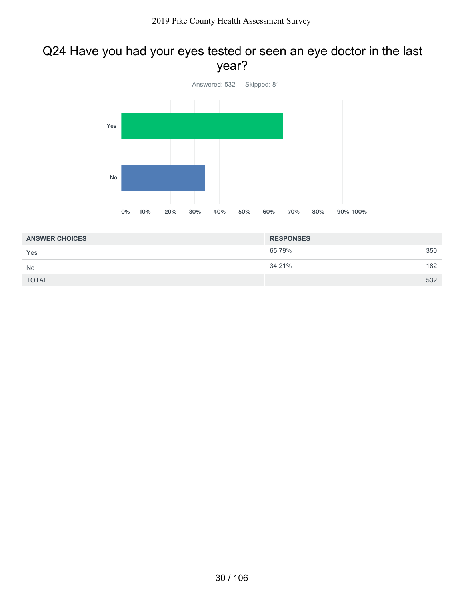## Q24 Have you had your eyes tested or seen an eye doctor in the last year?



| <b>ANSWER CHOICES</b> | <b>RESPONSES</b> |     |
|-----------------------|------------------|-----|
| Yes                   | 65.79%           | 350 |
| <b>No</b>             | 34.21%           | 182 |
| <b>TOTAL</b>          |                  | 532 |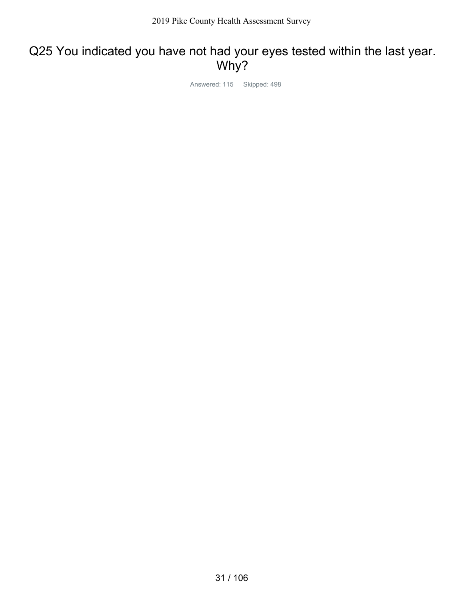## Q25 You indicated you have not had your eyes tested within the last year. Why?

Answered: 115 Skipped: 498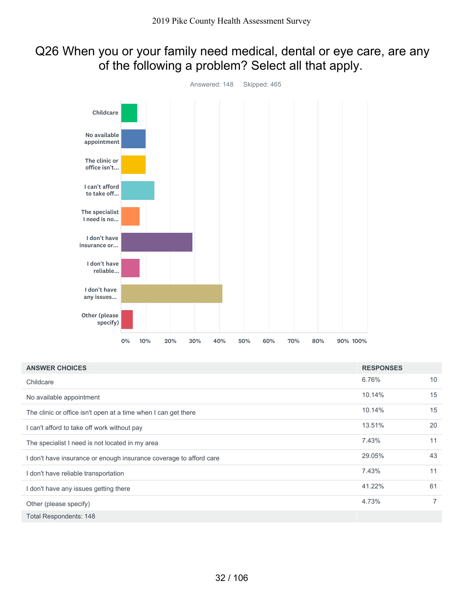## Q26 When you or your family need medical, dental or eye care, are any of the following a problem? Select all that apply.



| <b>ANSWER CHOICES</b>                                              | <b>RESPONSES</b> |                |
|--------------------------------------------------------------------|------------------|----------------|
| Childcare                                                          | 6.76%            | 10             |
| No available appointment                                           | 10.14%           | 15             |
| The clinic or office isn't open at a time when I can get there     | 10.14%           | 15             |
| I can't afford to take off work without pay                        | 13.51%           | 20             |
| The specialist I need is not located in my area                    | 7.43%            | 11             |
| I don't have insurance or enough insurance coverage to afford care | 29.05%           | 43             |
| I don't have reliable transportation                               | 7.43%            | 11             |
| I don't have any issues getting there                              | 41.22%           | 61             |
| Other (please specify)                                             | 4.73%            | $\overline{7}$ |
| <b>Total Respondents: 148</b>                                      |                  |                |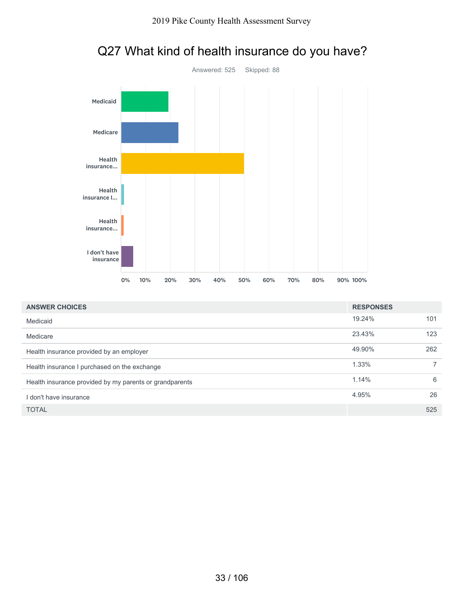

## Q27 What kind of health insurance do you have?

| <b>ANSWER CHOICES</b>                                   | <b>RESPONSES</b> |     |
|---------------------------------------------------------|------------------|-----|
| Medicaid                                                | 19.24%           | 101 |
| Medicare                                                | 23.43%           | 123 |
| Health insurance provided by an employer                | 49.90%           | 262 |
| Health insurance I purchased on the exchange            | 1.33%            |     |
| Health insurance provided by my parents or grandparents | 1.14%            | 6   |
| I don't have insurance                                  | 4.95%            | 26  |
| <b>TOTAL</b>                                            |                  | 525 |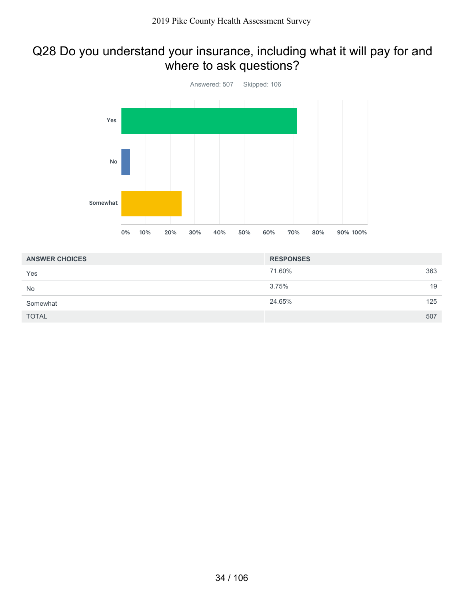## Q28 Do you understand your insurance, including what it will pay for and where to ask questions?



| <b>ANSWER CHOICES</b> | <b>RESPONSES</b> |  |
|-----------------------|------------------|--|
| Yes                   | 363<br>71.60%    |  |
| No                    | 19<br>3.75%      |  |
| Somewhat              | 24.65%<br>125    |  |
| <b>TOTAL</b>          | 507              |  |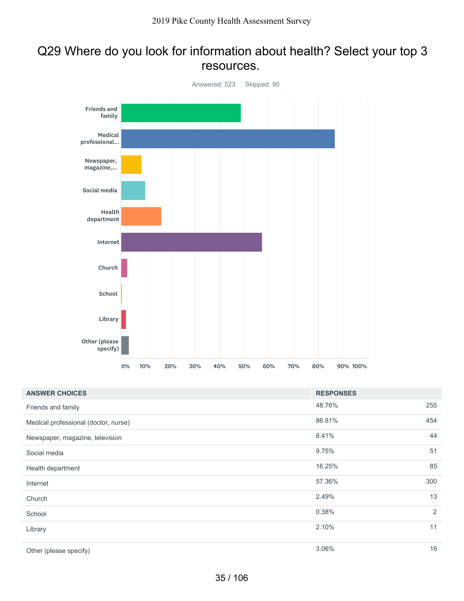### Q29 Where do you look for information about health? Select your top 3 resources.



| <b>ANSWER CHOICES</b>                | <b>RESPONSES</b> |     |
|--------------------------------------|------------------|-----|
| Friends and family                   | 48.76%           | 255 |
| Medical professional (doctor, nurse) | 86.81%           | 454 |
| Newspaper, magazine, television      | 8.41%            | 44  |
| Social media                         | 9.75%            | 51  |
| Health department                    | 16.25%           | 85  |
| Internet                             | 57.36%           | 300 |
| Church                               | 2.49%            | 13  |
| School                               | 0.38%            | 2   |
| Library                              | 2.10%            | 11  |
| Other (please specify)               | 3.06%            | 16  |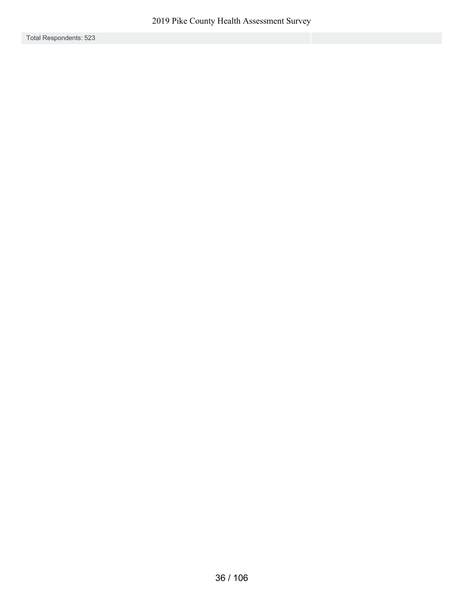Total Respondents: 523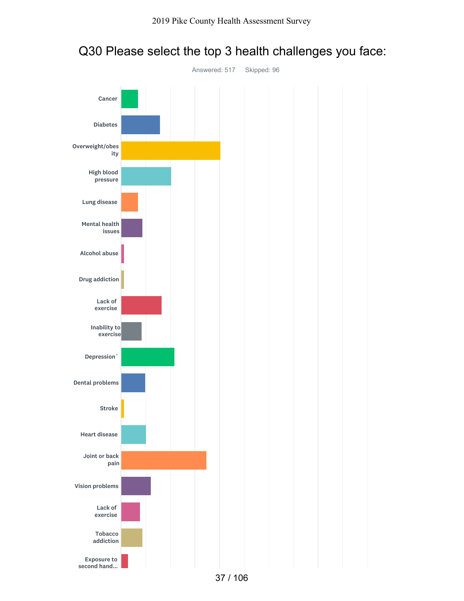

### Q30 Please select the top 3 health challenges you face: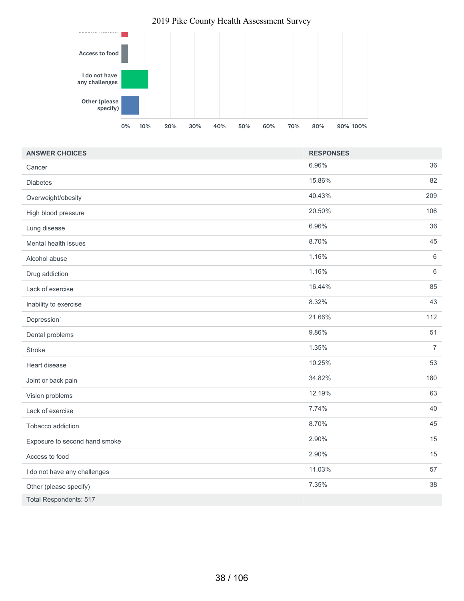

| <b>ANSWER CHOICES</b>         | <b>RESPONSES</b> |                |
|-------------------------------|------------------|----------------|
| Cancer                        | 6.96%            | 36             |
| <b>Diabetes</b>               | 15.86%           | 82             |
| Overweight/obesity            | 40.43%           | 209            |
| High blood pressure           | 20.50%           | 106            |
| Lung disease                  | 6.96%            | 36             |
| Mental health issues          | 8.70%            | 45             |
| Alcohol abuse                 | 1.16%            | 6              |
| Drug addiction                | 1.16%            | $\,6\,$        |
| Lack of exercise              | 16.44%           | 85             |
| Inability to exercise         | 8.32%            | 43             |
| Depression'                   | 21.66%           | 112            |
| Dental problems               | 9.86%            | 51             |
| <b>Stroke</b>                 | 1.35%            | $\overline{7}$ |
| Heart disease                 | 10.25%           | 53             |
| Joint or back pain            | 34.82%           | 180            |
| Vision problems               | 12.19%           | 63             |
| Lack of exercise              | 7.74%            | 40             |
| Tobacco addiction             | 8.70%            | 45             |
| Exposure to second hand smoke | 2.90%            | 15             |
| Access to food                | 2.90%            | 15             |
| I do not have any challenges  | 11.03%           | 57             |
| Other (please specify)        | 7.35%            | 38             |
| <b>Total Respondents: 517</b> |                  |                |

#### 2019 Pike County Health Assessment Survey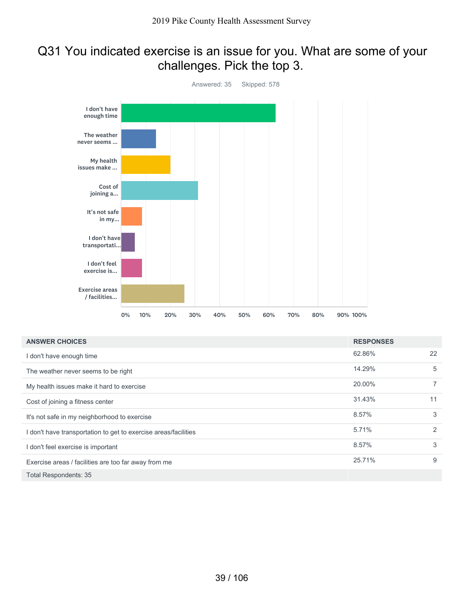### Q31 You indicated exercise is an issue for you. What are some of your challenges. Pick the top 3.



| <b>ANSWER CHOICES</b>                                           | <b>RESPONSES</b> |                |
|-----------------------------------------------------------------|------------------|----------------|
| I don't have enough time                                        | 62.86%           | 22             |
| The weather never seems to be right                             | 14.29%           | 5              |
| My health issues make it hard to exercise                       | 20.00%           | $\overline{7}$ |
| Cost of joining a fitness center                                | 31.43%           | 11             |
| It's not safe in my neighborhood to exercise                    | 8.57%            | 3              |
| I don't have transportation to get to exercise areas/facilities | 5.71%            | 2              |
| I don't feel exercise is important                              | 8.57%            | 3              |
| Exercise areas / facilities are too far away from me            | 25.71%           | 9              |
| <b>Total Respondents: 35</b>                                    |                  |                |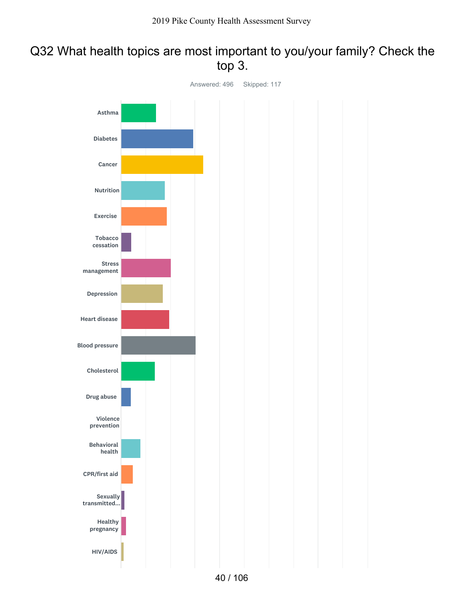### Q32 What health topics are most important to you/your family? Check the top 3.

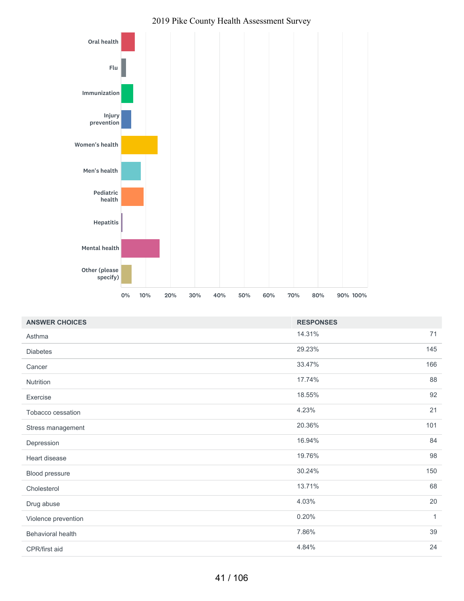

#### 2019 Pike County Health Assessment Survey

| <b>ANSWER CHOICES</b> | <b>RESPONSES</b> |              |
|-----------------------|------------------|--------------|
| Asthma                | 14.31%           | 71           |
| <b>Diabetes</b>       | 29.23%           | 145          |
| Cancer                | 33.47%           | 166          |
| Nutrition             | 17.74%           | 88           |
| Exercise              | 18.55%           | 92           |
| Tobacco cessation     | 4.23%            | 21           |
| Stress management     | 20.36%           | 101          |
| Depression            | 16.94%           | 84           |
| Heart disease         | 19.76%           | 98           |
| Blood pressure        | 30.24%           | 150          |
| Cholesterol           | 13.71%           | 68           |
| Drug abuse            | 4.03%            | 20           |
| Violence prevention   | 0.20%            | $\mathbf{1}$ |
| Behavioral health     | 7.86%            | 39           |
| CPR/first aid         | 4.84%            | 24           |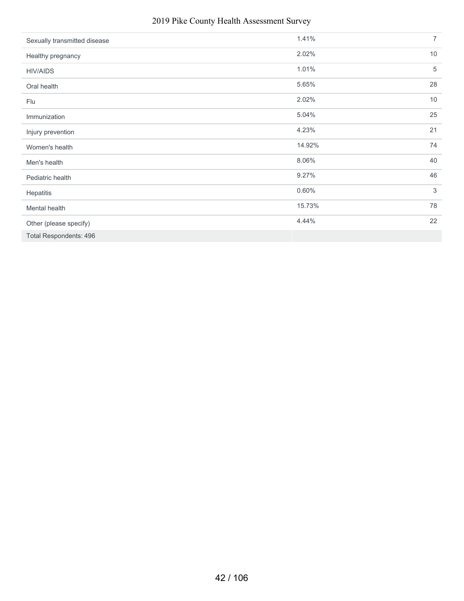### 2019 Pike County Health Assessment Survey

| Sexually transmitted disease  | 1.41%  | $\overline{7}$  |
|-------------------------------|--------|-----------------|
| Healthy pregnancy             | 2.02%  | 10 <sup>°</sup> |
| <b>HIV/AIDS</b>               | 1.01%  | $\sqrt{5}$      |
| Oral health                   | 5.65%  | 28              |
| Flu                           | 2.02%  | 10              |
| Immunization                  | 5.04%  | 25              |
| Injury prevention             | 4.23%  | 21              |
| Women's health                | 14.92% | 74              |
| Men's health                  | 8.06%  | 40              |
| Pediatric health              | 9.27%  | 46              |
| Hepatitis                     | 0.60%  | 3               |
| Mental health                 | 15.73% | 78              |
| Other (please specify)        | 4.44%  | 22              |
| <b>Total Respondents: 496</b> |        |                 |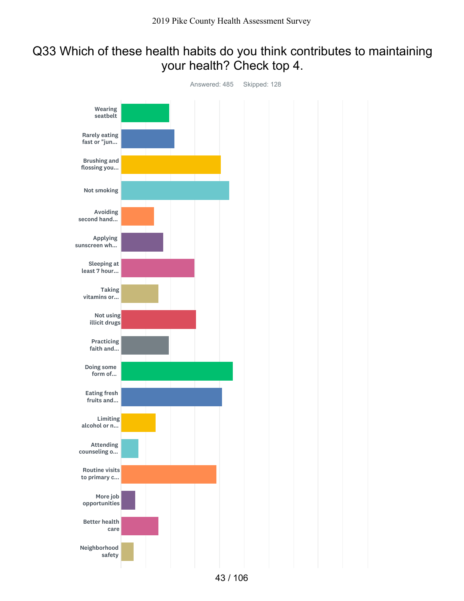### Q33 Which of these health habits do you think contributes to maintaining your health? Check top 4.

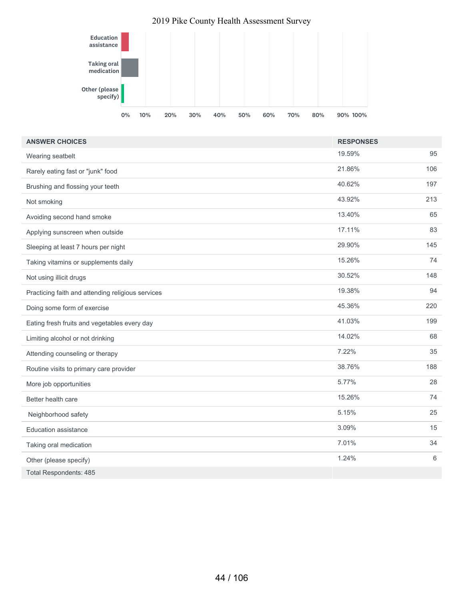### Education assistance Taking oral medication Other (please specify) 0% 10% 20% 30% 40% 50% 60% 70% 80% 90% 100% 2019 Pike County Health Assessment Survey

| <b>ANSWER CHOICES</b>                             | <b>RESPONSES</b> |     |
|---------------------------------------------------|------------------|-----|
| Wearing seatbelt                                  | 19.59%           | 95  |
| Rarely eating fast or "junk" food                 | 21.86%           | 106 |
| Brushing and flossing your teeth                  | 40.62%           | 197 |
| Not smoking                                       | 43.92%           | 213 |
| Avoiding second hand smoke                        | 13.40%           | 65  |
| Applying sunscreen when outside                   | 17.11%           | 83  |
| Sleeping at least 7 hours per night               | 29.90%           | 145 |
| Taking vitamins or supplements daily              | 15.26%           | 74  |
| Not using illicit drugs                           | 30.52%           | 148 |
| Practicing faith and attending religious services | 19.38%           | 94  |
| Doing some form of exercise                       | 45.36%           | 220 |
| Eating fresh fruits and vegetables every day      | 41.03%           | 199 |
| Limiting alcohol or not drinking                  | 14.02%           | 68  |
| Attending counseling or therapy                   | 7.22%            | 35  |
| Routine visits to primary care provider           | 38.76%           | 188 |
| More job opportunities                            | 5.77%            | 28  |
| Better health care                                | 15.26%           | 74  |
| Neighborhood safety                               | 5.15%            | 25  |
| Education assistance                              | 3.09%            | 15  |
| Taking oral medication                            | 7.01%            | 34  |
| Other (please specify)                            | 1.24%            | 6   |
| <b>Total Respondents: 485</b>                     |                  |     |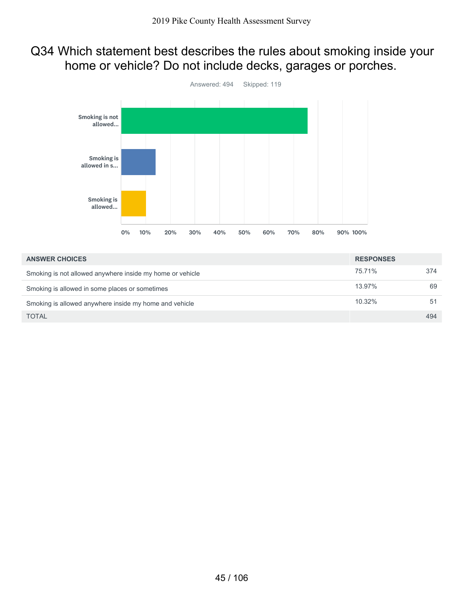### Q34 Which statement best describes the rules about smoking inside your home or vehicle? Do not include decks, garages or porches.



| <b>ANSWER CHOICES</b>                                     | <b>RESPONSES</b> |     |
|-----------------------------------------------------------|------------------|-----|
| Smoking is not allowed anywhere inside my home or vehicle | 75.71%           | 374 |
| Smoking is allowed in some places or sometimes            | 13.97%           | 69  |
| Smoking is allowed anywhere inside my home and vehicle    | 10.32%           | 51  |
| <b>TOTAL</b>                                              |                  | 494 |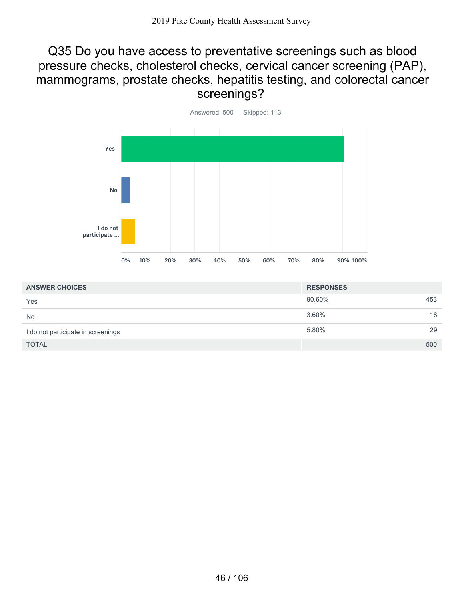### Q35 Do you have access to preventative screenings such as blood pressure checks, cholesterol checks, cervical cancer screening (PAP), mammograms, prostate checks, hepatitis testing, and colorectal cancer screenings?



| <b>ANSWER CHOICES</b>              | <b>RESPONSES</b> |     |
|------------------------------------|------------------|-----|
| Yes                                | 90.60%           | 453 |
| <b>No</b>                          | 3.60%            | 18  |
| I do not participate in screenings | 5.80%            | 29  |
| <b>TOTAL</b>                       |                  | 500 |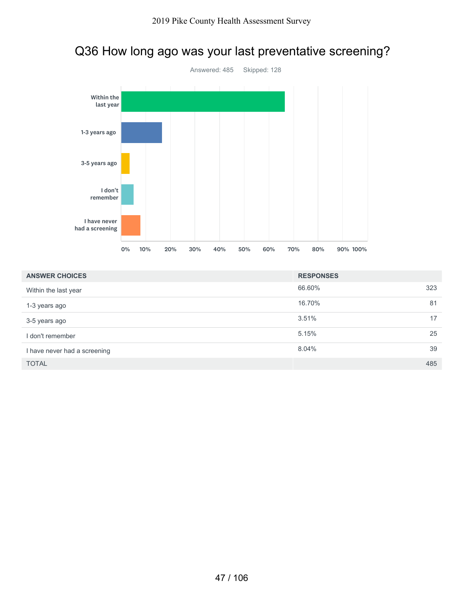### Q36 How long ago was your last preventative screening?



| <b>ANSWER CHOICES</b>        | <b>RESPONSES</b> |     |
|------------------------------|------------------|-----|
| Within the last year         | 66.60%           | 323 |
| 1-3 years ago                | 16.70%           | 81  |
| 3-5 years ago                | 3.51%            | 17  |
| I don't remember             | 5.15%            | 25  |
| I have never had a screening | 8.04%            | 39  |
| <b>TOTAL</b>                 |                  | 485 |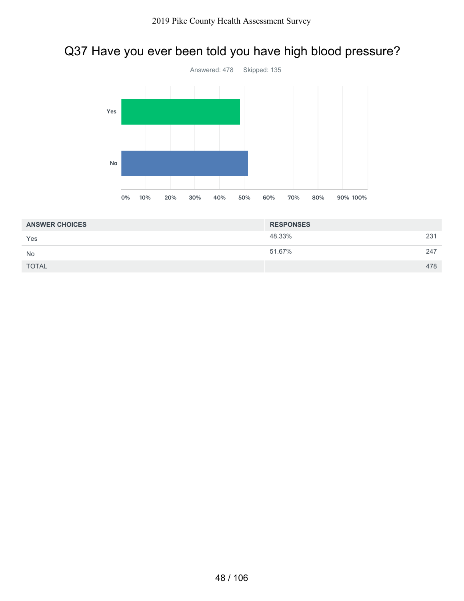# Q37 Have you ever been told you have high blood pressure?



| <b>ANSWER CHOICES</b> | <b>RESPONSES</b> |     |
|-----------------------|------------------|-----|
| Yes                   | 48.33%           | 231 |
| <b>No</b>             | 51.67%           | 247 |
| <b>TOTAL</b>          |                  | 478 |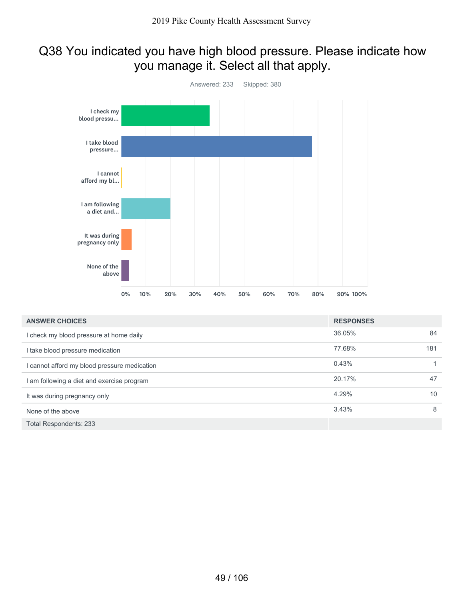## Q38 You indicated you have high blood pressure. Please indicate how you manage it. Select all that apply.



| <b>ANSWER CHOICES</b>                        | <b>RESPONSES</b> |     |
|----------------------------------------------|------------------|-----|
| I check my blood pressure at home daily      | 36.05%           | 84  |
| I take blood pressure medication             | 77.68%           | 181 |
| I cannot afford my blood pressure medication | 0.43%            |     |
| am following a diet and exercise program     | 20.17%           | 47  |
| It was during pregnancy only                 | 4.29%            | 10  |
| None of the above                            | 3.43%            | 8   |
| Total Respondents: 233                       |                  |     |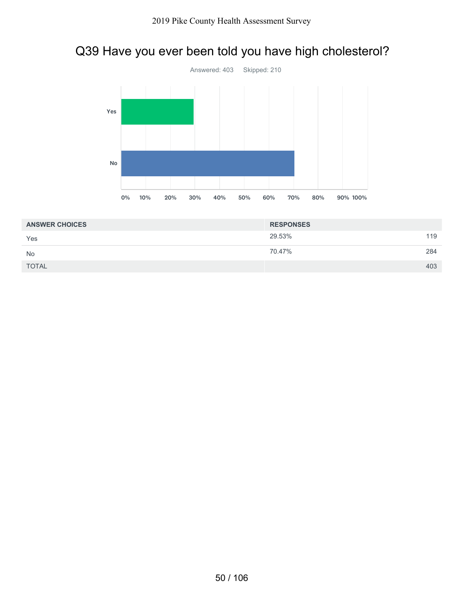# Q39 Have you ever been told you have high cholesterol?



| <b>ANSWER CHOICES</b> | <b>RESPONSES</b> |     |
|-----------------------|------------------|-----|
| Yes                   | 29.53%           | 119 |
| <b>No</b>             | 70.47%           | 284 |
| <b>TOTAL</b>          |                  | 403 |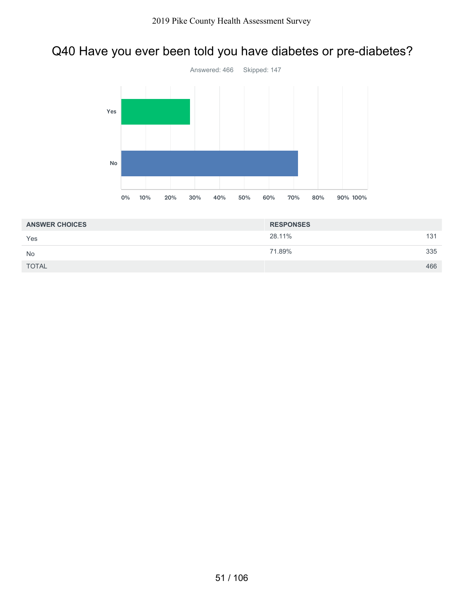## Q40 Have you ever been told you have diabetes or pre-diabetes?



| <b>ANSWER CHOICES</b> | <b>RESPONSES</b> |     |
|-----------------------|------------------|-----|
| Yes                   | 28.11%           | 131 |
| <b>No</b>             | 71.89%           | 335 |
| <b>TOTAL</b>          |                  | 466 |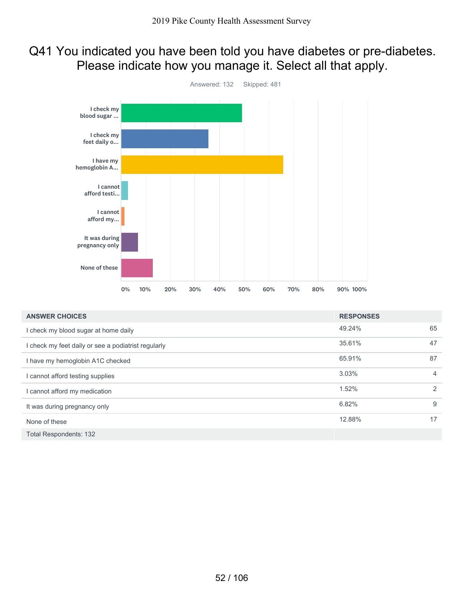### Q41 You indicated you have been told you have diabetes or pre-diabetes. Please indicate how you manage it. Select all that apply.



| <b>ANSWER CHOICES</b>                               | <b>RESPONSES</b> |    |
|-----------------------------------------------------|------------------|----|
| I check my blood sugar at home daily                | 49.24%           | 65 |
| I check my feet daily or see a podiatrist regularly | 35.61%           | 47 |
| I have my hemoglobin A1C checked                    | 65.91%           | 87 |
| I cannot afford testing supplies                    | 3.03%            | 4  |
| I cannot afford my medication                       | 1.52%            | 2  |
| It was during pregnancy only                        | 6.82%            | 9  |
| None of these                                       | 12.88%           | 17 |
| <b>Total Respondents: 132</b>                       |                  |    |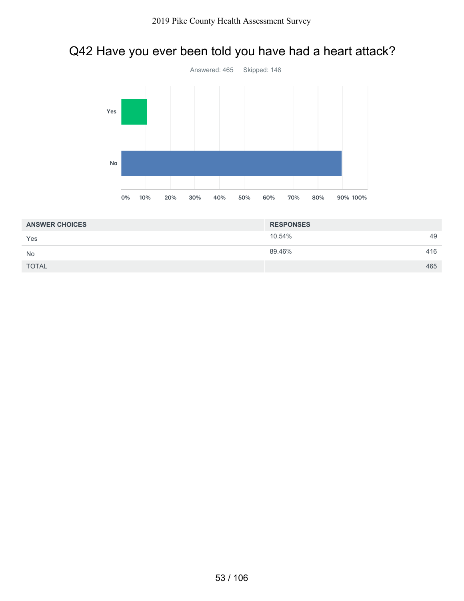### Q42 Have you ever been told you have had a heart attack?



| <b>ANSWER CHOICES</b> | <b>RESPONSES</b> |     |
|-----------------------|------------------|-----|
| Yes                   | 10.54%           | 49  |
| <b>No</b>             | 89.46%           | 416 |
| <b>TOTAL</b>          |                  | 465 |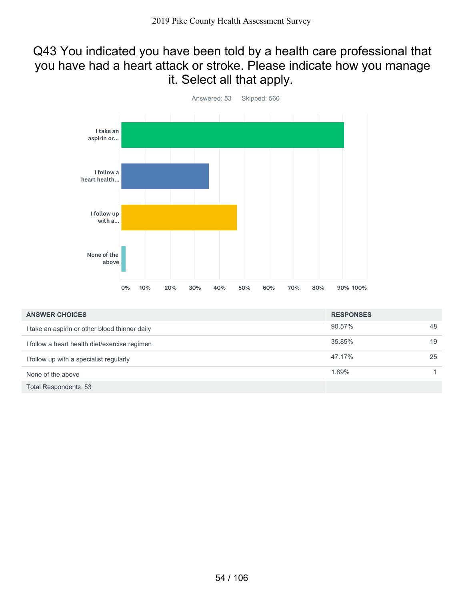### Q43 You indicated you have been told by a health care professional that you have had a heart attack or stroke. Please indicate how you manage it. Select all that apply.



| <b>ANSWER CHOICES</b>                          | <b>RESPONSES</b> |    |
|------------------------------------------------|------------------|----|
| I take an aspirin or other blood thinner daily | 90.57%           | 48 |
| I follow a heart health diet/exercise regimen  | 35.85%           | 19 |
| I follow up with a specialist regularly        | 47.17%           | 25 |
| None of the above                              | 1.89%            |    |
| Total Respondents: 53                          |                  |    |

54 / 106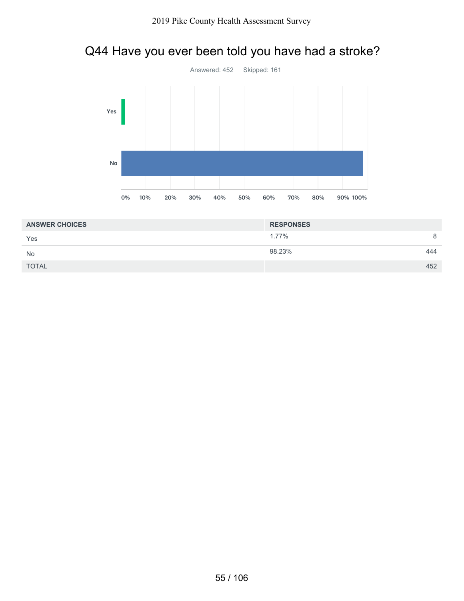# Q44 Have you ever been told you have had a stroke?



| <b>ANSWER CHOICES</b> | <b>RESPONSES</b> |     |
|-----------------------|------------------|-----|
| Yes                   | 1.77%            | 8   |
| <b>No</b>             | 98.23%           | 444 |
| <b>TOTAL</b>          |                  | 452 |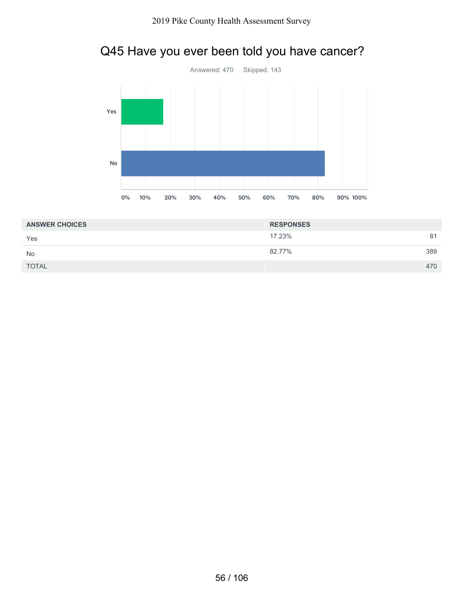# Q45 Have you ever been told you have cancer?



| <b>ANSWER CHOICES</b> | <b>RESPONSES</b> |     |
|-----------------------|------------------|-----|
| Yes                   | 17.23%           | 81  |
| <b>No</b>             | 82.77%           | 389 |
| <b>TOTAL</b>          |                  | 470 |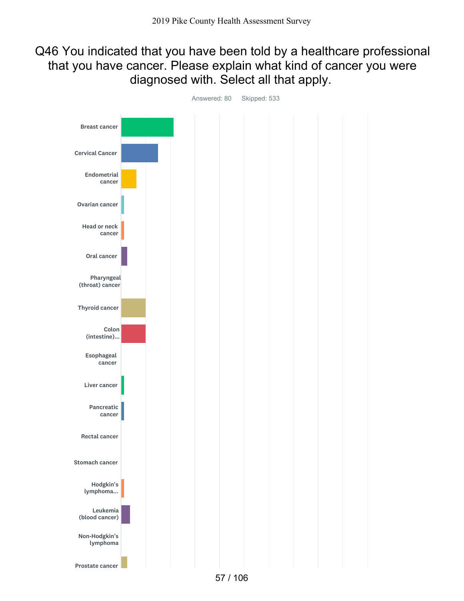### Q46 You indicated that you have been told by a healthcare professional that you have cancer. Please explain what kind of cancer you were diagnosed with. Select all that apply.



Answered: 80 Skipped: 533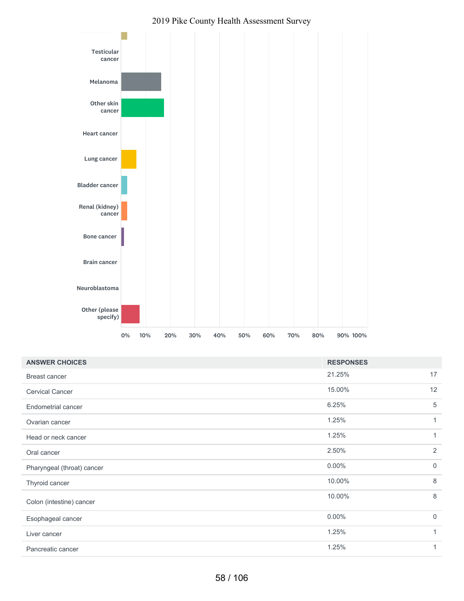

#### 2019 Pike County Health Assessment Survey

| <b>ANSWER CHOICES</b>      | <b>RESPONSES</b> |                |
|----------------------------|------------------|----------------|
| <b>Breast cancer</b>       | 21.25%           | 17             |
| <b>Cervical Cancer</b>     | 15.00%           | 12             |
| <b>Endometrial cancer</b>  | 6.25%            | 5              |
| Ovarian cancer             | 1.25%            | $\mathbf{1}$   |
| Head or neck cancer        | 1.25%            | 1              |
| Oral cancer                | 2.50%            | $\overline{2}$ |
| Pharyngeal (throat) cancer | $0.00\%$         | $\mathbf 0$    |
| Thyroid cancer             | 10.00%           | 8              |
| Colon (intestine) cancer   | 10.00%           | 8              |
| Esophageal cancer          | $0.00\%$         | $\Omega$       |
| Liver cancer               | 1.25%            | $\mathbf{1}$   |
| Pancreatic cancer          | 1.25%            |                |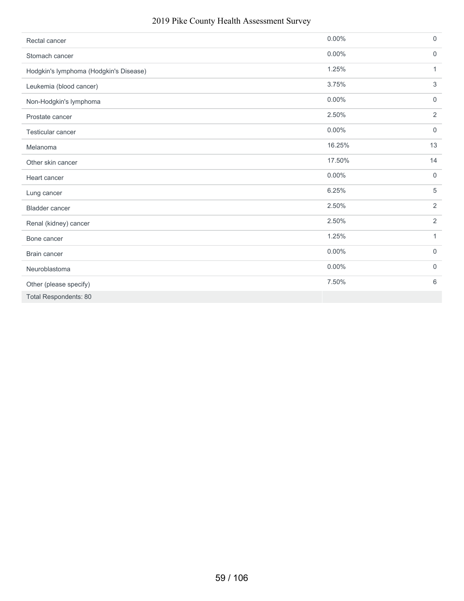### 2019 Pike County Health Assessment Survey

| Rectal cancer                          | $0.00\%$ | $\mathsf{O}\xspace$ |
|----------------------------------------|----------|---------------------|
| Stomach cancer                         | $0.00\%$ | $\mathsf{0}$        |
| Hodgkin's lymphoma (Hodgkin's Disease) | 1.25%    | $\mathbf{1}$        |
| Leukemia (blood cancer)                | 3.75%    | 3                   |
| Non-Hodgkin's lymphoma                 | $0.00\%$ | $\mathbf 0$         |
| Prostate cancer                        | 2.50%    | $\overline{2}$      |
| Testicular cancer                      | $0.00\%$ | $\mathbf 0$         |
| Melanoma                               | 16.25%   | 13                  |
| Other skin cancer                      | 17.50%   | 14                  |
| Heart cancer                           | $0.00\%$ | $\mathbf 0$         |
| Lung cancer                            | 6.25%    | 5                   |
| <b>Bladder cancer</b>                  | 2.50%    | $\overline{2}$      |
| Renal (kidney) cancer                  | 2.50%    | $\overline{2}$      |
| Bone cancer                            | 1.25%    | $\mathbf{1}$        |
| Brain cancer                           | $0.00\%$ | $\mathbf 0$         |
| Neuroblastoma                          | $0.00\%$ | $\mathbf 0$         |
| Other (please specify)                 | 7.50%    | 6                   |
| <b>Total Respondents: 80</b>           |          |                     |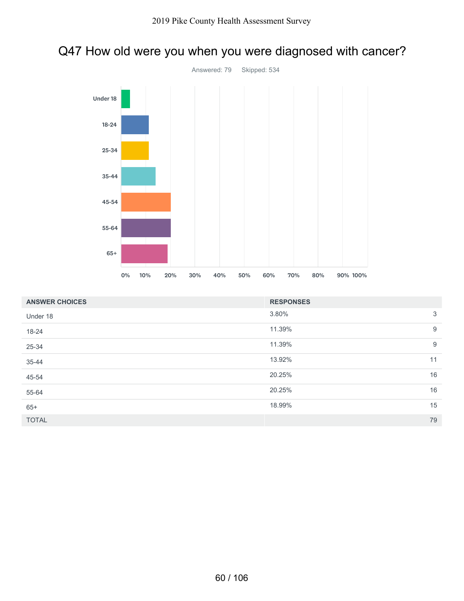### Q47 How old were you when you were diagnosed with cancer?



| <b>ANSWER CHOICES</b> | <b>RESPONSES</b> |    |
|-----------------------|------------------|----|
| Under 18              | 3.80%            | 3  |
| 18-24                 | 11.39%           | 9  |
| 25-34                 | 11.39%           | 9  |
| 35-44                 | 13.92%           | 11 |
| 45-54                 | 20.25%           | 16 |
| 55-64                 | 20.25%           | 16 |
| $65+$                 | 18.99%           | 15 |
| <b>TOTAL</b>          |                  | 79 |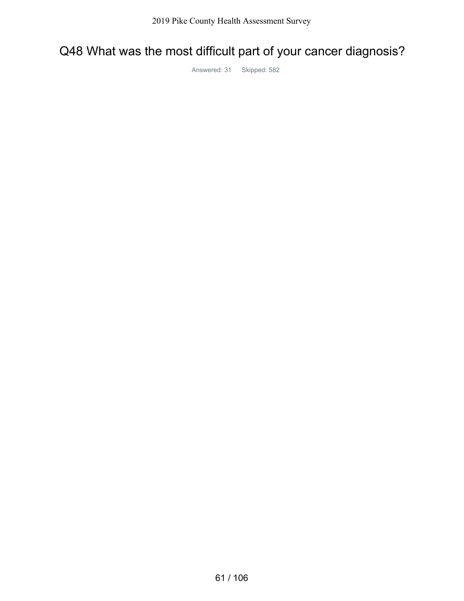## Q48 What was the most difficult part of your cancer diagnosis?

Answered: 31 Skipped: 582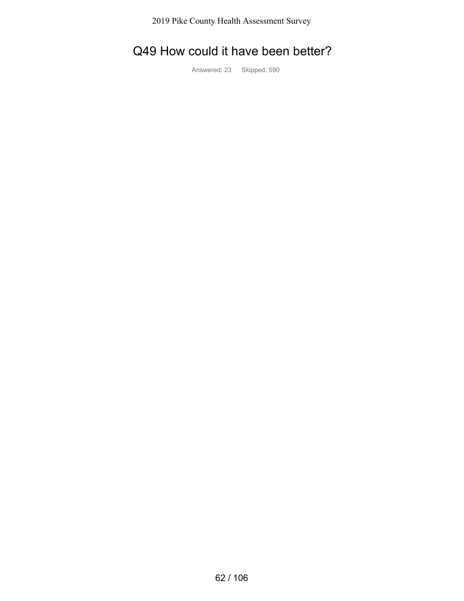2019 Pike County Health Assessment Survey

## Q49 How could it have been better?

Answered: 23 Skipped: 590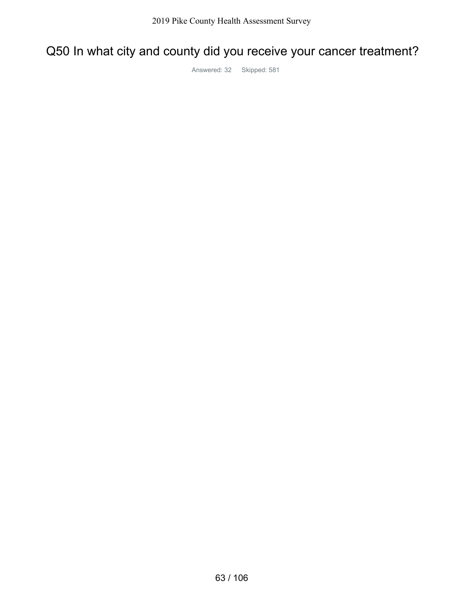# Q50 In what city and county did you receive your cancer treatment?

Answered: 32 Skipped: 581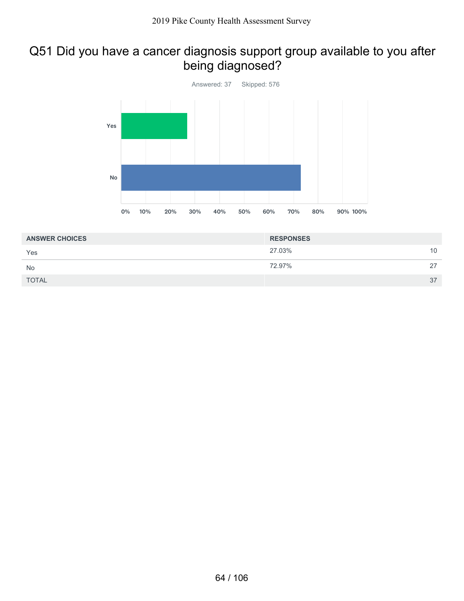### Q51 Did you have a cancer diagnosis support group available to you after being diagnosed?



| <b>ANSWER CHOICES</b> | <b>RESPONSES</b> |    |
|-----------------------|------------------|----|
| Yes                   | 27.03%           | 10 |
| <b>No</b>             | 72.97%           | 27 |
| <b>TOTAL</b>          |                  | 37 |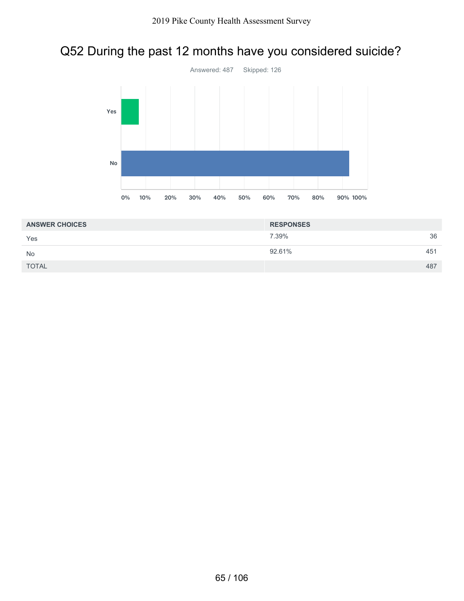## Q52 During the past 12 months have you considered suicide?



| <b>ANSWER CHOICES</b> | <b>RESPONSES</b> |     |
|-----------------------|------------------|-----|
| Yes                   | 7.39%            | 36  |
| <b>No</b>             | 92.61%           | 451 |
| <b>TOTAL</b>          |                  | 487 |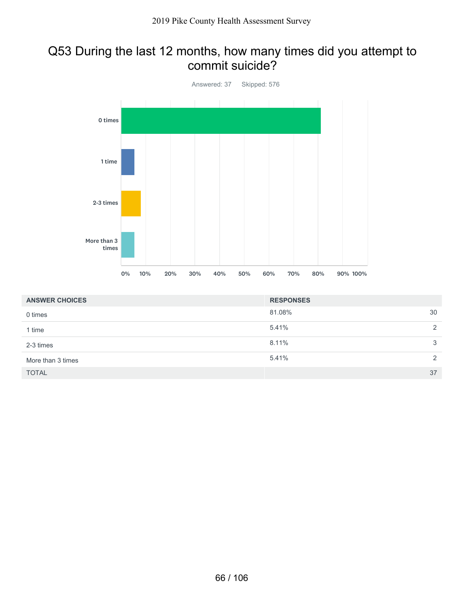### Q53 During the last 12 months, how many times did you attempt to commit suicide?



| <b>ANSWER CHOICES</b> | <b>RESPONSES</b> |    |
|-----------------------|------------------|----|
| 0 times               | 81.08%           | 30 |
| 1 time                | 5.41%            | 2  |
| 2-3 times             | 8.11%            | 3  |
| More than 3 times     | 5.41%            | 2  |
| <b>TOTAL</b>          |                  | 37 |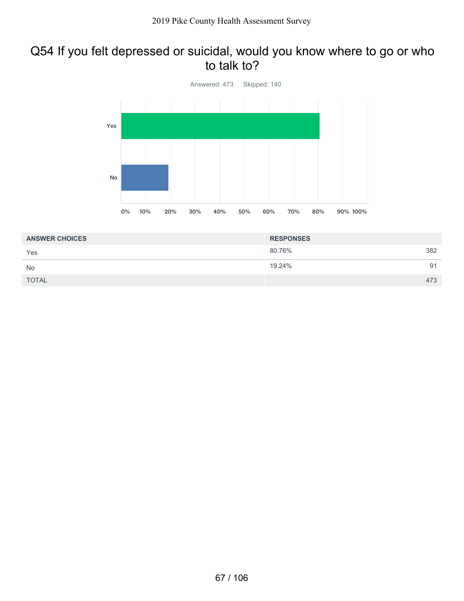### Q54 If you felt depressed or suicidal, would you know where to go or who to talk to?



| <b>ANSWER CHOICES</b> | <b>RESPONSES</b> |     |
|-----------------------|------------------|-----|
| Yes                   | 80.76%           | 382 |
| <b>No</b>             | 19.24%           | 91  |
| <b>TOTAL</b>          |                  | 473 |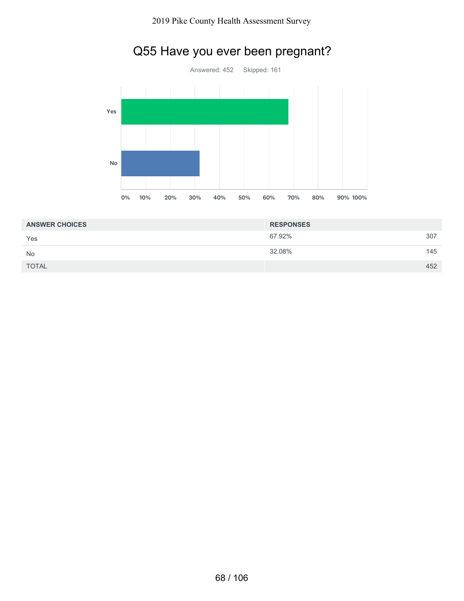

# Q55 Have you ever been pregnant?

| <b>ANSWER CHOICES</b> | <b>RESPONSES</b> |     |
|-----------------------|------------------|-----|
| Yes                   | 67.92%           | 307 |
| <b>No</b>             | 32.08%           | 145 |
| <b>TOTAL</b>          |                  | 452 |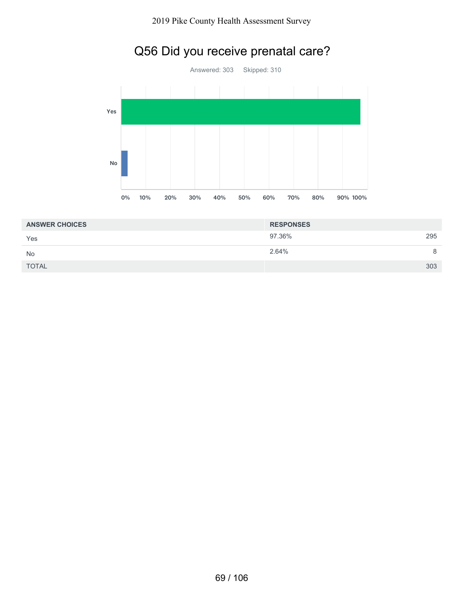



| <b>ANSWER CHOICES</b> | <b>RESPONSES</b> |     |
|-----------------------|------------------|-----|
| Yes                   | 97.36%           | 295 |
| <b>No</b>             | 2.64%            |     |
| <b>TOTAL</b>          |                  | 303 |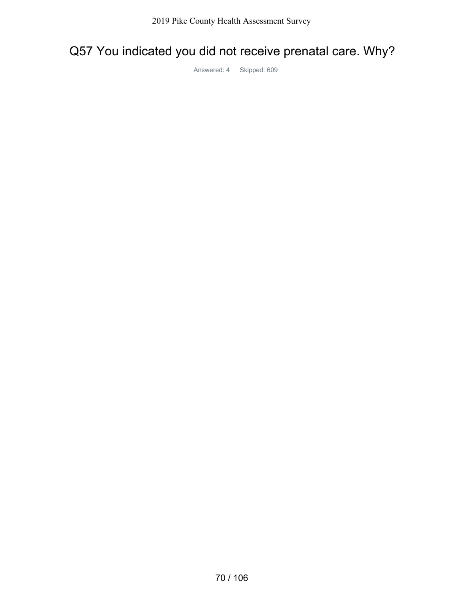# Q57 You indicated you did not receive prenatal care. Why?

Answered: 4 Skipped: 609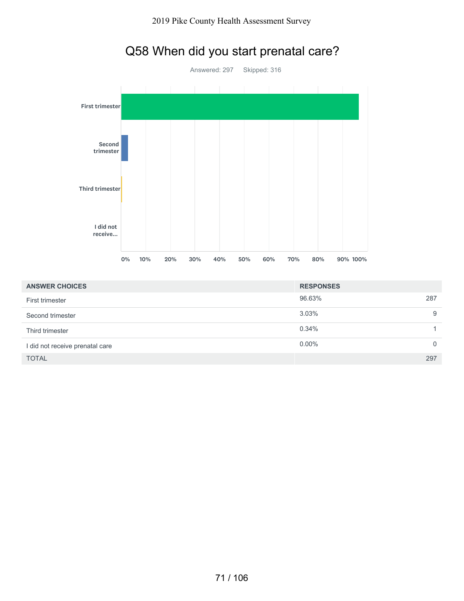

# Q58 When did you start prenatal care?

| <b>ANSWER CHOICES</b>           | <b>RESPONSES</b> |          |
|---------------------------------|------------------|----------|
| First trimester                 | 96.63%           | 287      |
| Second trimester                | 3.03%            | 9        |
| Third trimester                 | 0.34%            |          |
| I did not receive prenatal care | $0.00\%$         | $\Omega$ |
| <b>TOTAL</b>                    |                  | 297      |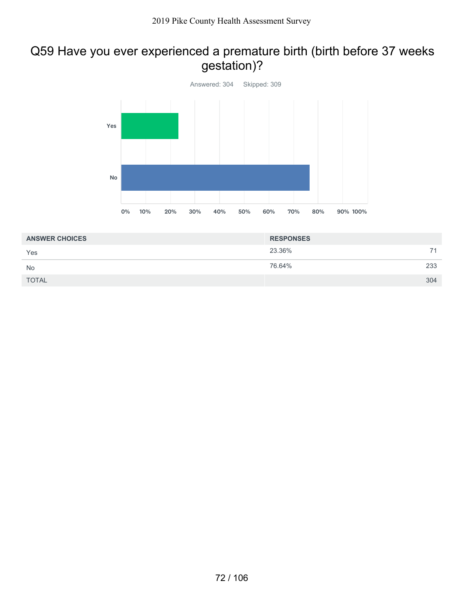### Q59 Have you ever experienced a premature birth (birth before 37 weeks gestation)?



| <b>ANSWER CHOICES</b> | <b>RESPONSES</b> |     |
|-----------------------|------------------|-----|
| Yes                   | 23.36%           | 71  |
| <b>No</b>             | 76.64%           | 233 |
| <b>TOTAL</b>          |                  | 304 |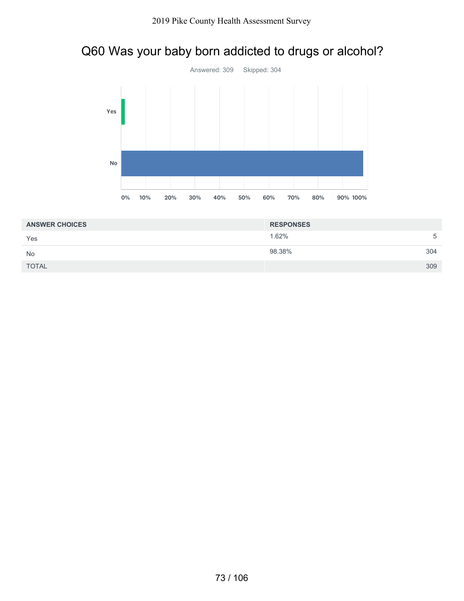## Q60 Was your baby born addicted to drugs or alcohol?



| <b>ANSWER CHOICES</b> | <b>RESPONSES</b> |     |
|-----------------------|------------------|-----|
| Yes                   | 1.62%            | 5   |
| <b>No</b>             | 98.38%           | 304 |
| <b>TOTAL</b>          |                  | 309 |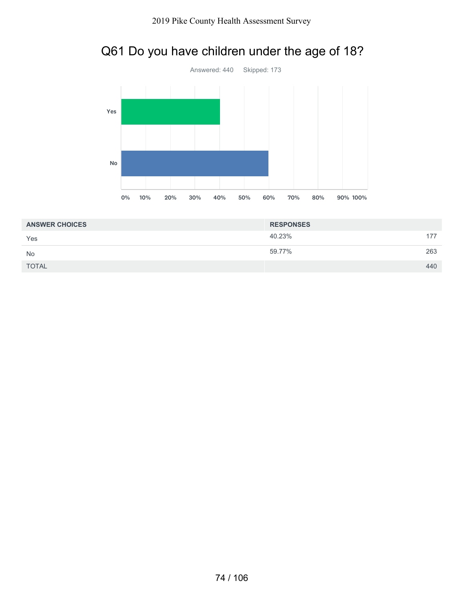



| <b>ANSWER CHOICES</b> | <b>RESPONSES</b> |     |
|-----------------------|------------------|-----|
| Yes                   | 40.23%           | 177 |
| <b>No</b>             | 59.77%           | 263 |
| <b>TOTAL</b>          |                  | 440 |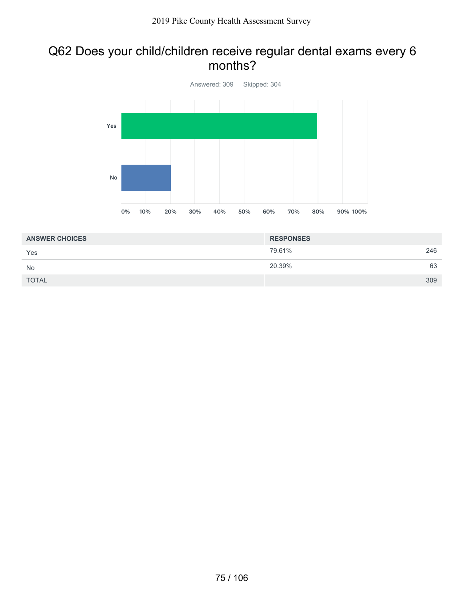#### Q62 Does your child/children receive regular dental exams every 6 months?



| <b>ANSWER CHOICES</b> | <b>RESPONSES</b> |     |
|-----------------------|------------------|-----|
| Yes                   | 79.61%           | 246 |
| <b>No</b>             | 20.39%           | 63  |
| <b>TOTAL</b>          |                  | 309 |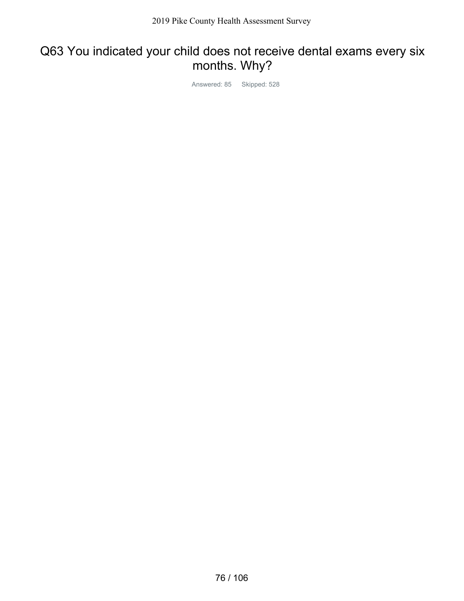## Q63 You indicated your child does not receive dental exams every six months. Why?

Answered: 85 Skipped: 528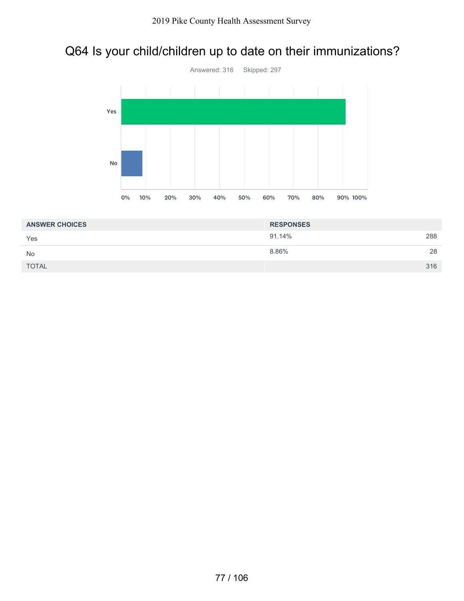## Q64 Is your child/children up to date on their immunizations?



| <b>ANSWER CHOICES</b> | <b>RESPONSES</b> |     |
|-----------------------|------------------|-----|
| Yes                   | 91.14%           | 288 |
| <b>No</b>             | 8.86%            | 28  |
| <b>TOTAL</b>          |                  | 316 |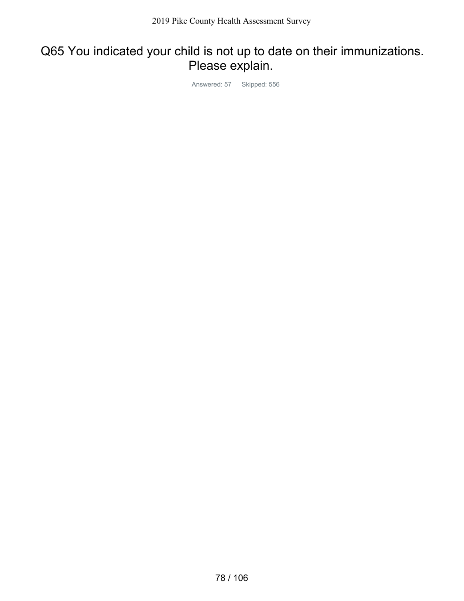## Q65 You indicated your child is not up to date on their immunizations. Please explain.

Answered: 57 Skipped: 556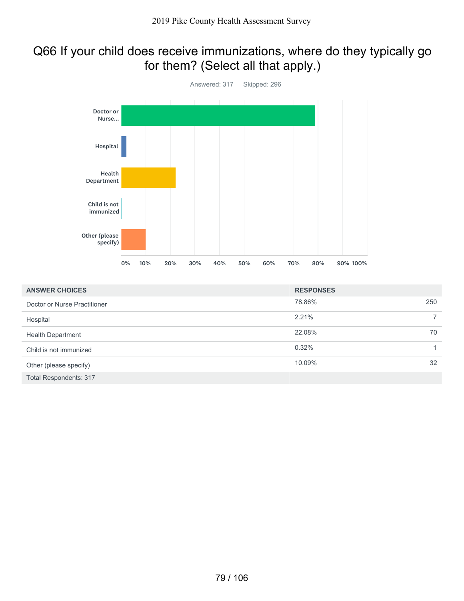## Q66 If your child does receive immunizations, where do they typically go for them? (Select all that apply.)



| <b>ANSWER CHOICES</b>         | <b>RESPONSES</b> |     |
|-------------------------------|------------------|-----|
| Doctor or Nurse Practitioner  | 78.86%           | 250 |
| Hospital                      | 2.21%            |     |
| <b>Health Department</b>      | 22.08%           | 70  |
| Child is not immunized        | 0.32%            |     |
| Other (please specify)        | 10.09%           | 32  |
| <b>Total Respondents: 317</b> |                  |     |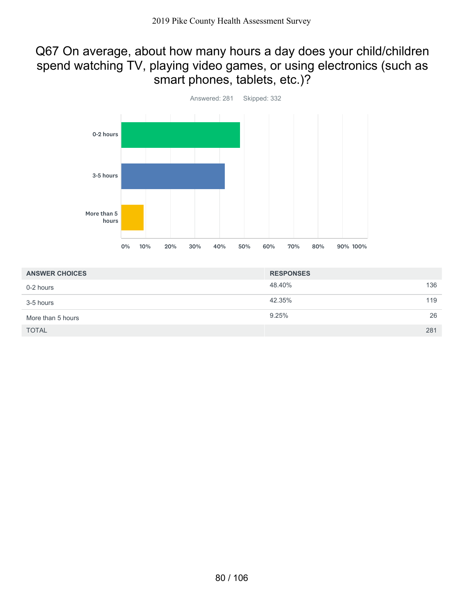#### Q67 On average, about how many hours a day does your child/children spend watching TV, playing video games, or using electronics (such as smart phones, tablets, etc.)?



| <b>ANSWER CHOICES</b> | <b>RESPONSES</b> |     |
|-----------------------|------------------|-----|
| 0-2 hours             | 48.40%           | 136 |
| 3-5 hours             | 42.35%           | 119 |
| More than 5 hours     | 9.25%            | 26  |
| <b>TOTAL</b>          |                  | 281 |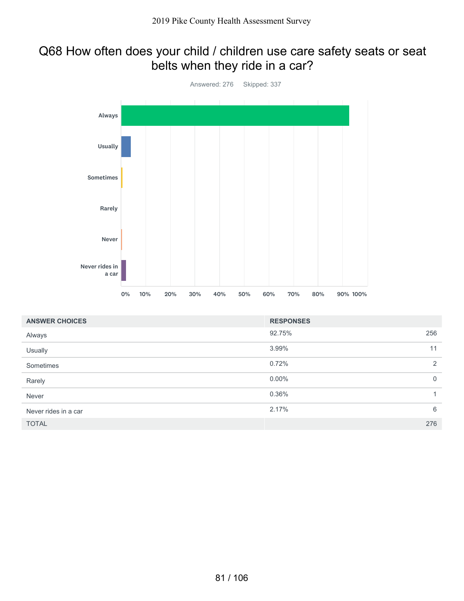#### Q68 How often does your child / children use care safety seats or seat belts when they ride in a car?



| <b>ANSWER CHOICES</b> | <b>RESPONSES</b> |              |
|-----------------------|------------------|--------------|
| Always                | 92.75%           | 256          |
| Usually               | 3.99%            | 11           |
| Sometimes             | 0.72%            | 2            |
| Rarely                | $0.00\%$         | $\mathbf 0$  |
| Never                 | 0.36%            | $\mathbf{1}$ |
| Never rides in a car  | 2.17%            | 6            |
| <b>TOTAL</b>          |                  | 276          |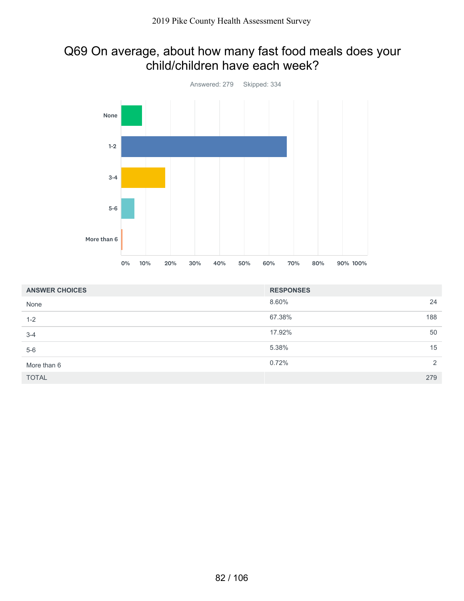### Q69 On average, about how many fast food meals does your child/children have each week?



| <b>ANSWER CHOICES</b> | <b>RESPONSES</b> |     |
|-----------------------|------------------|-----|
| None                  | 8.60%            | 24  |
| $1 - 2$               | 67.38%           | 188 |
| $3 - 4$               | 17.92%           | 50  |
| $5-6$                 | 5.38%            | 15  |
| More than 6           | 0.72%            | 2   |
| <b>TOTAL</b>          |                  | 279 |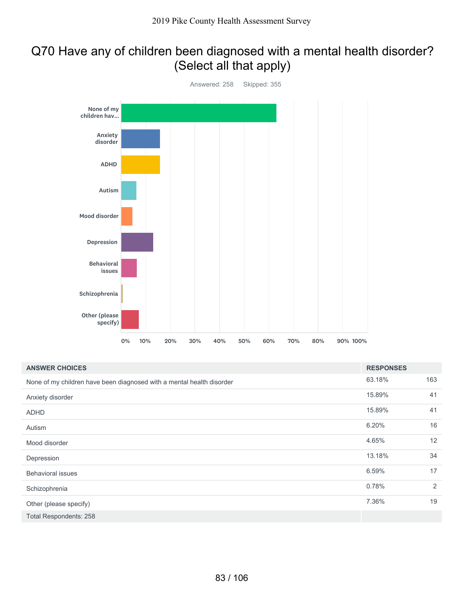## Q70 Have any of children been diagnosed with a mental health disorder? (Select all that apply)



| <b>ANSWER CHOICES</b>                                                 | <b>RESPONSES</b> |     |
|-----------------------------------------------------------------------|------------------|-----|
| None of my children have been diagnosed with a mental health disorder | 63.18%           | 163 |
| Anxiety disorder                                                      | 15.89%           | 41  |
| <b>ADHD</b>                                                           | 15.89%           | 41  |
| Autism                                                                | 6.20%            | 16  |
| Mood disorder                                                         | 4.65%            | 12  |
| Depression                                                            | 13.18%           | 34  |
| <b>Behavioral issues</b>                                              | 6.59%            | 17  |
| Schizophrenia                                                         | 0.78%            | 2   |
| Other (please specify)                                                | 7.36%            | 19  |
| Total Respondents: 258                                                |                  |     |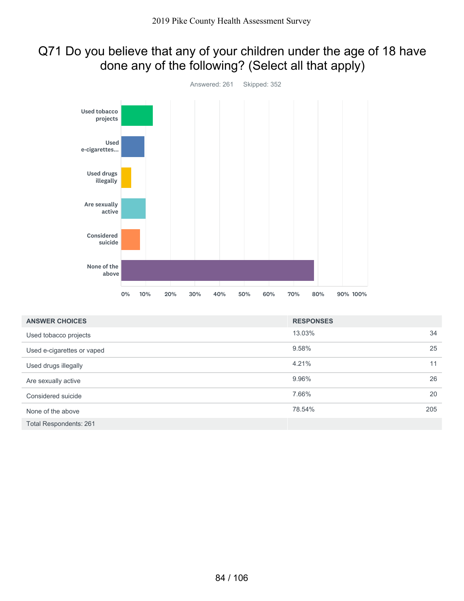## Q71 Do you believe that any of your children under the age of 18 have done any of the following? (Select all that apply)



| <b>ANSWER CHOICES</b>         | <b>RESPONSES</b> |     |
|-------------------------------|------------------|-----|
| Used tobacco projects         | 13.03%           | 34  |
| Used e-cigarettes or vaped    | 9.58%            | 25  |
| Used drugs illegally          | 4.21%            | 11  |
| Are sexually active           | 9.96%            | 26  |
| Considered suicide            | 7.66%            | 20  |
| None of the above             | 78.54%           | 205 |
| <b>Total Respondents: 261</b> |                  |     |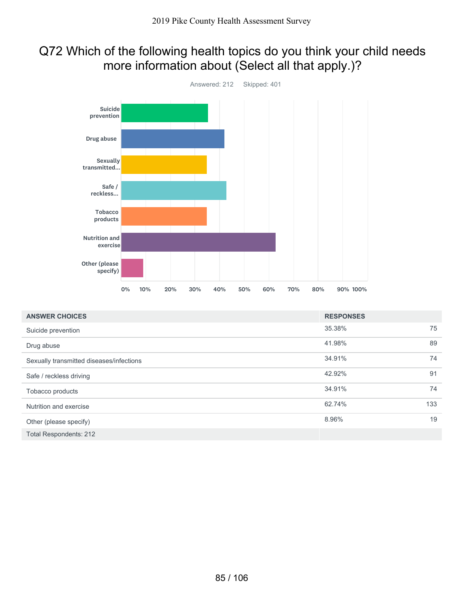## Q72 Which of the following health topics do you think your child needs more information about (Select all that apply.)?



| <b>ANSWER CHOICES</b>                    | <b>RESPONSES</b> |     |
|------------------------------------------|------------------|-----|
| Suicide prevention                       | 35.38%           | 75  |
| Drug abuse                               | 41.98%           | 89  |
| Sexually transmitted diseases/infections | 34.91%           | 74  |
| Safe / reckless driving                  | 42.92%           | 91  |
| Tobacco products                         | 34.91%           | 74  |
| Nutrition and exercise                   | 62.74%           | 133 |
| Other (please specify)                   | 8.96%            | 19  |
| Total Respondents: 212                   |                  |     |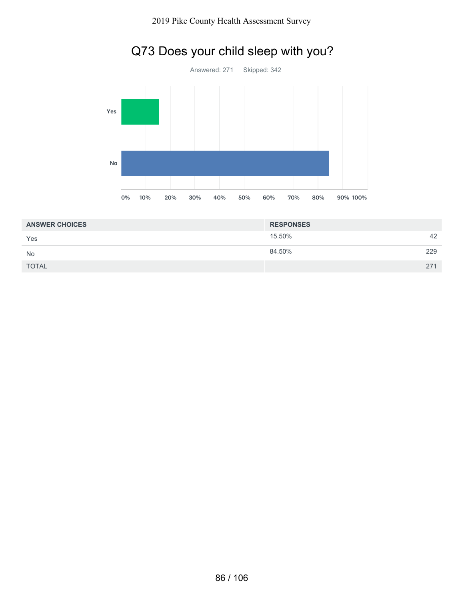

## Q73 Does your child sleep with you?

| <b>ANSWER CHOICES</b> | <b>RESPONSES</b> |     |
|-----------------------|------------------|-----|
| Yes                   | 15.50%           | 42  |
| <b>No</b>             | 84.50%           | 229 |
| <b>TOTAL</b>          |                  | 271 |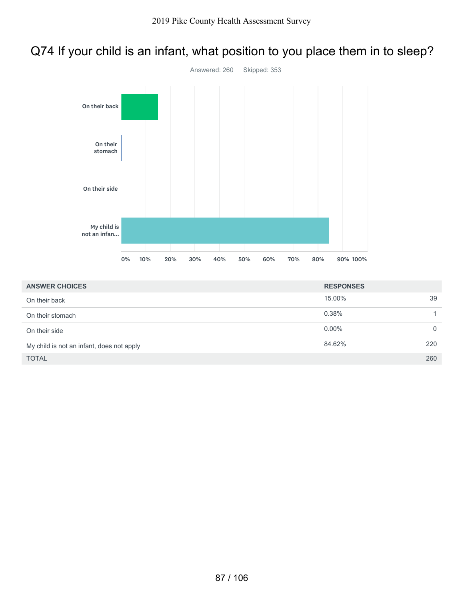## Q74 If your child is an infant, what position to you place them in to sleep?



| <b>ANSWER CHOICES</b>                     | <b>RESPONSES</b> |     |
|-------------------------------------------|------------------|-----|
| On their back                             | 15.00%           | 39  |
| On their stomach                          | 0.38%            |     |
| On their side                             | $0.00\%$         | 0   |
| My child is not an infant, does not apply | 84.62%           | 220 |
| <b>TOTAL</b>                              |                  | 260 |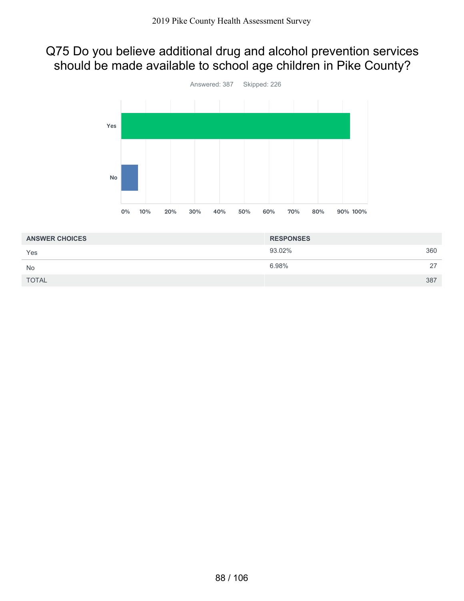## Q75 Do you believe additional drug and alcohol prevention services should be made available to school age children in Pike County?



| <b>ANSWER CHOICES</b> | <b>RESPONSES</b> |     |
|-----------------------|------------------|-----|
| Yes                   | 93.02%           | 360 |
| <b>No</b>             | 6.98%            | 27  |
| <b>TOTAL</b>          |                  | 387 |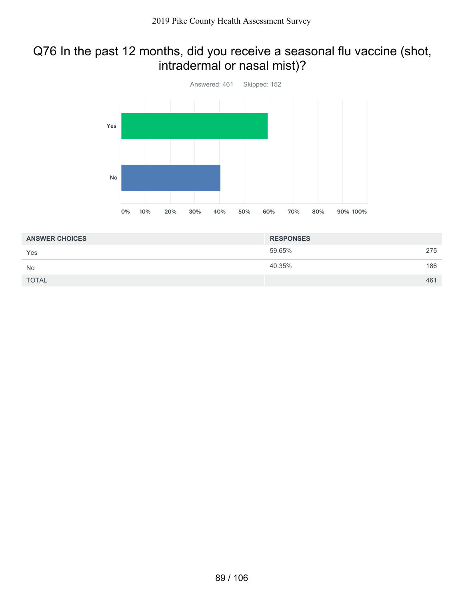### Q76 In the past 12 months, did you receive a seasonal flu vaccine (shot, intradermal or nasal mist)?



| <b>ANSWER CHOICES</b> | <b>RESPONSES</b> |     |
|-----------------------|------------------|-----|
| Yes                   | 59.65%           | 275 |
| <b>No</b>             | 40.35%           | 186 |
| <b>TOTAL</b>          |                  | 461 |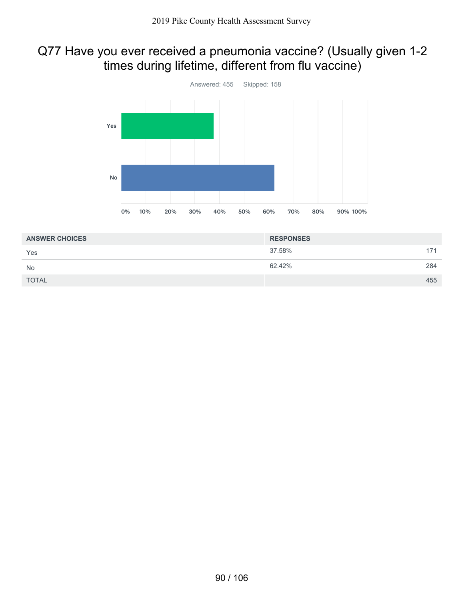## Q77 Have you ever received a pneumonia vaccine? (Usually given 1-2 times during lifetime, different from flu vaccine)



| <b>ANSWER CHOICES</b> | <b>RESPONSES</b> |     |
|-----------------------|------------------|-----|
| Yes                   | 37.58%           | 171 |
| <b>No</b>             | 62.42%           | 284 |
| <b>TOTAL</b>          |                  | 455 |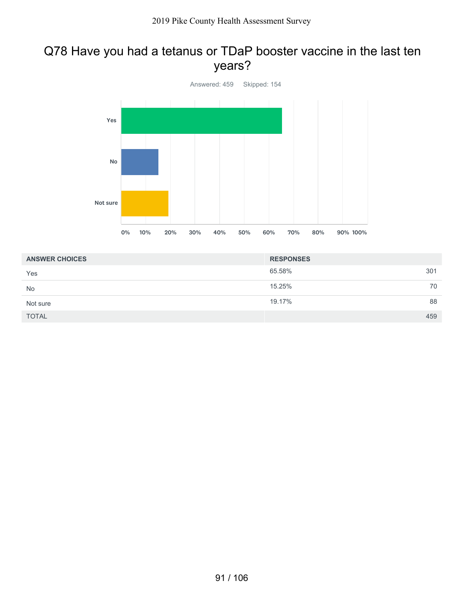#### Q78 Have you had a tetanus or TDaP booster vaccine in the last ten years?



| <b>ANSWER CHOICES</b> | <b>RESPONSES</b> |    |
|-----------------------|------------------|----|
| Yes                   | 65.58%<br>301    |    |
| <b>No</b>             | 15.25%           | 70 |
| Not sure              | 19.17%           | 88 |
| <b>TOTAL</b>          | 459              |    |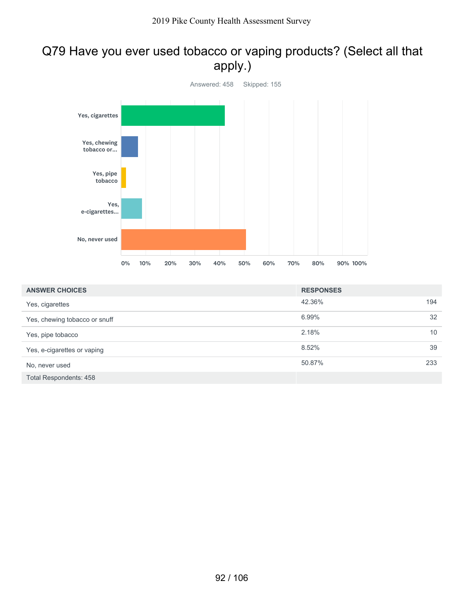## Q79 Have you ever used tobacco or vaping products? (Select all that apply.)



| <b>ANSWER CHOICES</b>         | <b>RESPONSES</b> |     |
|-------------------------------|------------------|-----|
| Yes, cigarettes               | 42.36%           | 194 |
| Yes, chewing tobacco or snuff | 6.99%            | 32  |
| Yes, pipe tobacco             | 2.18%            | 10  |
| Yes, e-cigarettes or vaping   | 8.52%            | 39  |
| No, never used                | 50.87%           | 233 |
| <b>Total Respondents: 458</b> |                  |     |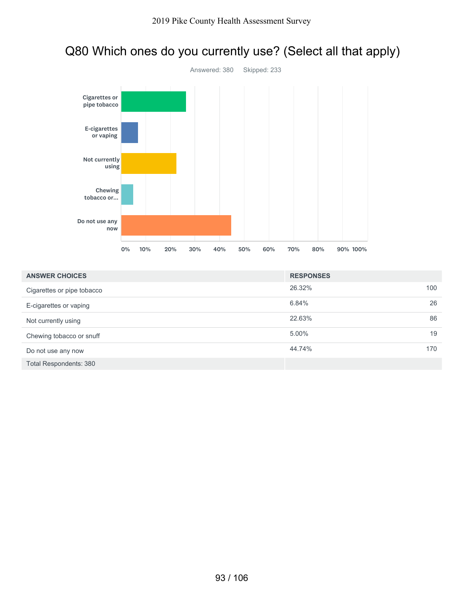### Q80 Which ones do you currently use? (Select all that apply)



| <b>ANSWER CHOICES</b>         | <b>RESPONSES</b> |    |
|-------------------------------|------------------|----|
| Cigarettes or pipe tobacco    | 26.32%<br>100    |    |
| E-cigarettes or vaping        | 6.84%            | 26 |
| Not currently using           | 22.63%           | 86 |
| Chewing tobacco or snuff      | 5.00%            | 19 |
| Do not use any now            | 44.74%<br>170    |    |
| <b>Total Respondents: 380</b> |                  |    |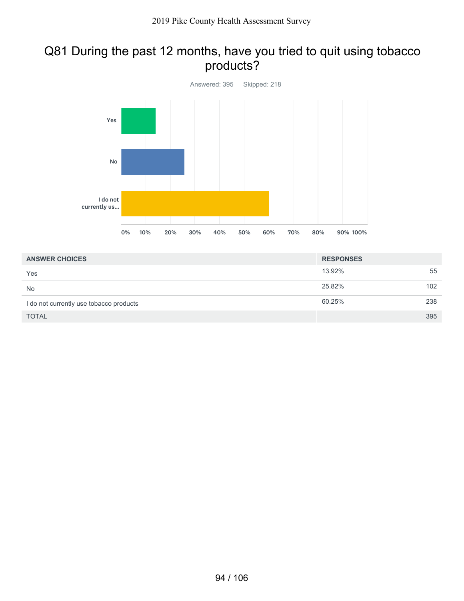#### Q81 During the past 12 months, have you tried to quit using tobacco products?



| <b>ANSWER CHOICES</b>                   | <b>RESPONSES</b> |     |
|-----------------------------------------|------------------|-----|
| Yes                                     | 13.92%           | 55  |
| <b>No</b>                               | 25.82%           | 102 |
| I do not currently use tobacco products | 60.25%           | 238 |
| <b>TOTAL</b>                            |                  | 395 |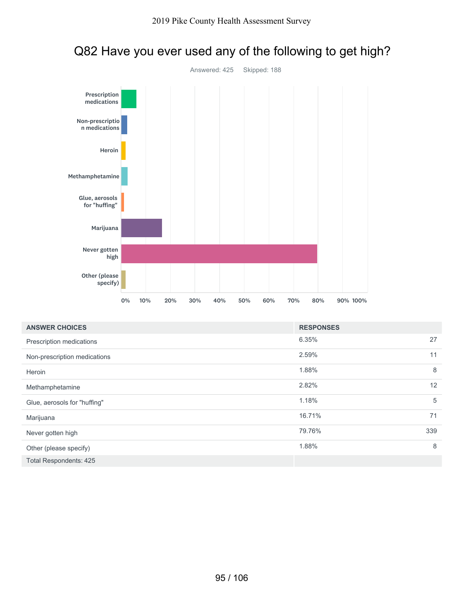

## Q82 Have you ever used any of the following to get high?

| <b>ANSWER CHOICES</b>        | <b>RESPONSES</b> |
|------------------------------|------------------|
| Prescription medications     | 27<br>6.35%      |
| Non-prescription medications | 11<br>2.59%      |
| Heroin                       | 8<br>1.88%       |
| Methamphetamine              | 12<br>2.82%      |
| Glue, aerosols for "huffing" | 5<br>1.18%       |
| Marijuana                    | 71<br>16.71%     |
| Never gotten high            | 339<br>79.76%    |
| Other (please specify)       | 8<br>1.88%       |
| Total Respondents: 425       |                  |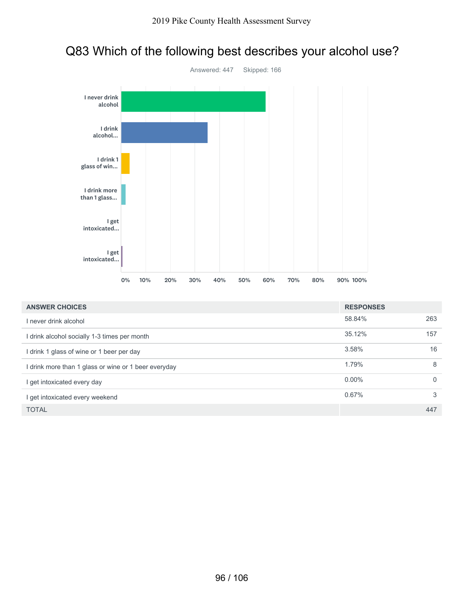



| <b>ANSWER CHOICES</b>                                | <b>RESPONSES</b> |          |
|------------------------------------------------------|------------------|----------|
| I never drink alcohol                                | 58.84%           | 263      |
| I drink alcohol socially 1-3 times per month         | 35.12%           | 157      |
| I drink 1 glass of wine or 1 beer per day            | 3.58%            | 16       |
| I drink more than 1 glass or wine or 1 beer everyday | 1.79%            | 8        |
| l get intoxicated every day                          | $0.00\%$         | $\Omega$ |
| I get intoxicated every weekend                      | 0.67%            | 3        |
| <b>TOTAL</b>                                         |                  | 447      |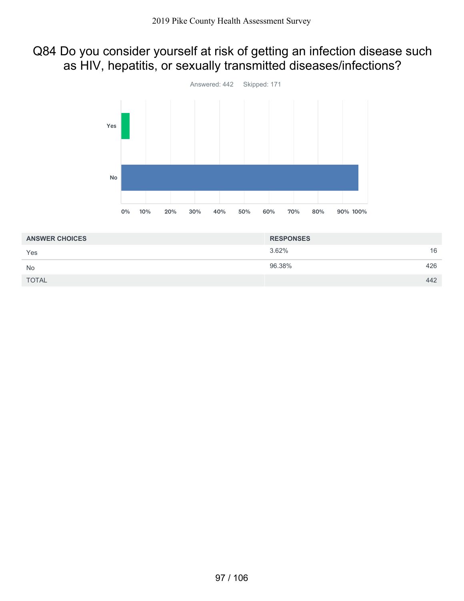## Q84 Do you consider yourself at risk of getting an infection disease such as HIV, hepatitis, or sexually transmitted diseases/infections?



| <b>ANSWER CHOICES</b> | <b>RESPONSES</b> |     |
|-----------------------|------------------|-----|
| Yes                   | 3.62%            | 16  |
| <b>No</b>             | 96.38%           | 426 |
| <b>TOTAL</b>          |                  | 442 |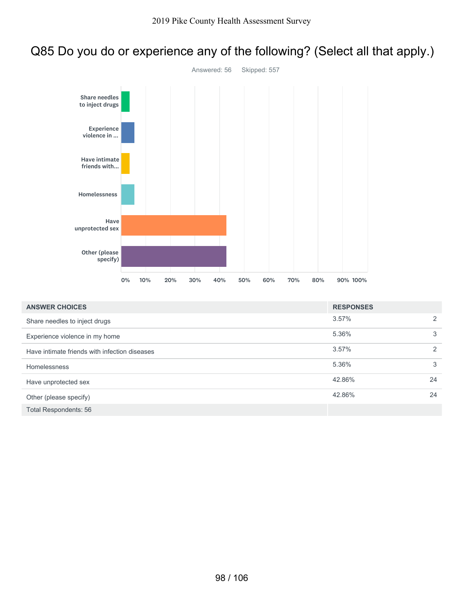## Q85 Do you do or experience any of the following? (Select all that apply.)



| <b>ANSWER CHOICES</b>                         | <b>RESPONSES</b> |    |
|-----------------------------------------------|------------------|----|
| Share needles to inject drugs                 | 3.57%            | 2  |
| Experience violence in my home                | 5.36%            | 3  |
| Have intimate friends with infection diseases | 3.57%            | 2  |
| <b>Homelessness</b>                           | 5.36%            | 3  |
| Have unprotected sex                          | 42.86%           | 24 |
| Other (please specify)                        | 42.86%           | 24 |
| <b>Total Respondents: 56</b>                  |                  |    |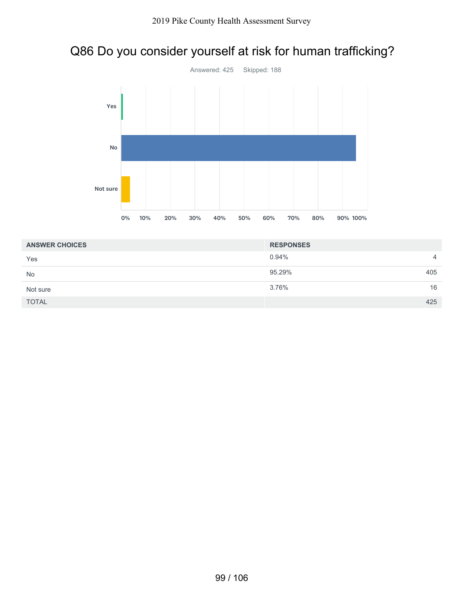# Q86 Do you consider yourself at risk for human trafficking?



| <b>ANSWER CHOICES</b> | <b>RESPONSES</b> |                |
|-----------------------|------------------|----------------|
| Yes                   | 0.94%            | $\overline{4}$ |
| <b>No</b>             | 95.29%           | 405            |
| Not sure              | 3.76%            | 16             |
| <b>TOTAL</b>          |                  | 425            |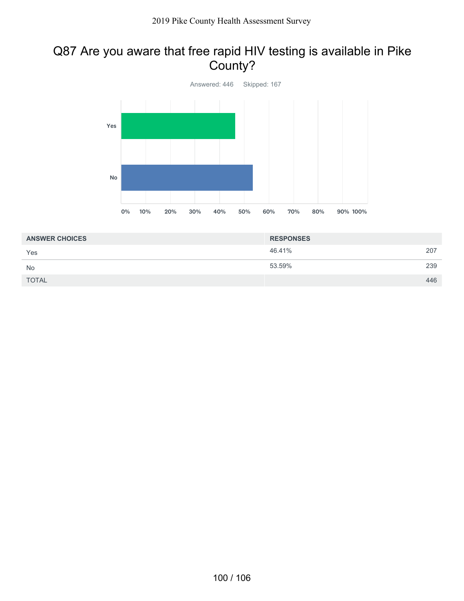## Q87 Are you aware that free rapid HIV testing is available in Pike County?



| <b>ANSWER CHOICES</b> | <b>RESPONSES</b> |     |
|-----------------------|------------------|-----|
| Yes                   | 46.41%           | 207 |
| <b>No</b>             | 53.59%           | 239 |
| <b>TOTAL</b>          |                  | 446 |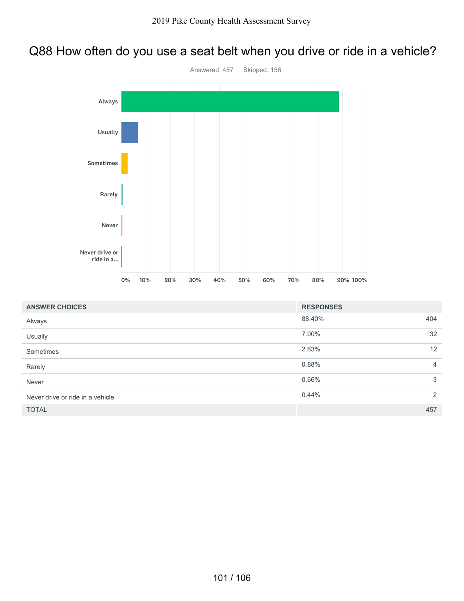#### Q88 How often do you use a seat belt when you drive or ride in a vehicle?



| <b>ANSWER CHOICES</b>            | <b>RESPONSES</b> |                |
|----------------------------------|------------------|----------------|
| Always                           | 88.40%           | 404            |
| Usually                          | 7.00%            | 32             |
| Sometimes                        | 2.63%            | 12             |
| Rarely                           | 0.88%            | $\overline{4}$ |
| Never                            | 0.66%            | 3              |
| Never drive or ride in a vehicle | 0.44%            | 2              |
| <b>TOTAL</b>                     |                  | 457            |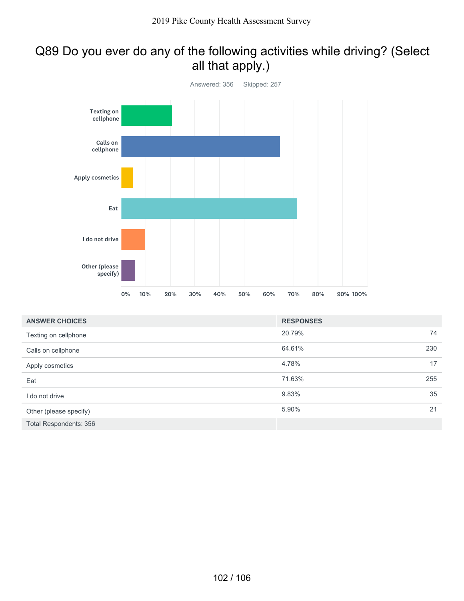## Q89 Do you ever do any of the following activities while driving? (Select all that apply.)



| <b>ANSWER CHOICES</b>         | <b>RESPONSES</b> |     |
|-------------------------------|------------------|-----|
| Texting on cellphone          | 20.79%           | 74  |
| Calls on cellphone            | 64.61%           | 230 |
| Apply cosmetics               | 4.78%            | 17  |
| Eat                           | 71.63%           | 255 |
| I do not drive                | 9.83%            | 35  |
| Other (please specify)        | 5.90%            | 21  |
| <b>Total Respondents: 356</b> |                  |     |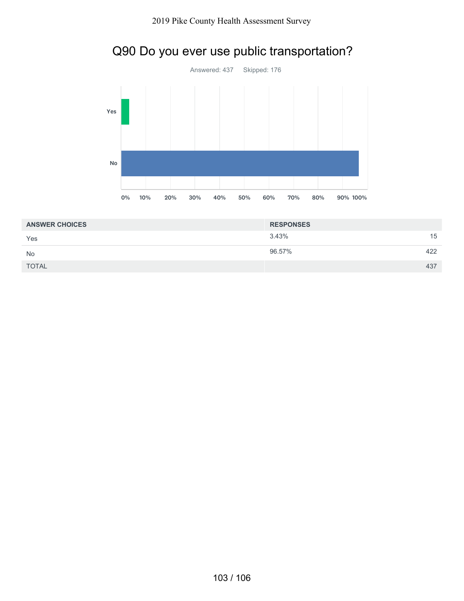



| <b>ANSWER CHOICES</b> | <b>RESPONSES</b> |     |
|-----------------------|------------------|-----|
| Yes                   | 3.43%            | 15  |
| <b>No</b>             | 96.57%           | 422 |
| <b>TOTAL</b>          |                  | 437 |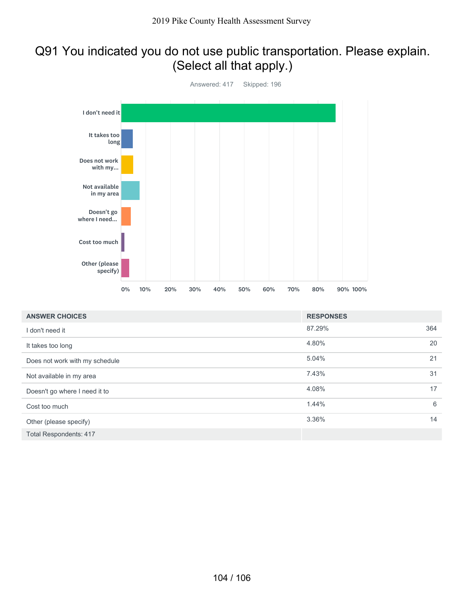## Q91 You indicated you do not use public transportation. Please explain. (Select all that apply.)



| <b>ANSWER CHOICES</b>          | <b>RESPONSES</b> |     |
|--------------------------------|------------------|-----|
| I don't need it                | 87.29%           | 364 |
| It takes too long              | 4.80%            | 20  |
| Does not work with my schedule | 5.04%            | 21  |
| Not available in my area       | 7.43%            | 31  |
| Doesn't go where I need it to  | 4.08%            | 17  |
| Cost too much                  | 1.44%            | 6   |
| Other (please specify)         | 3.36%            | 14  |
| <b>Total Respondents: 417</b>  |                  |     |